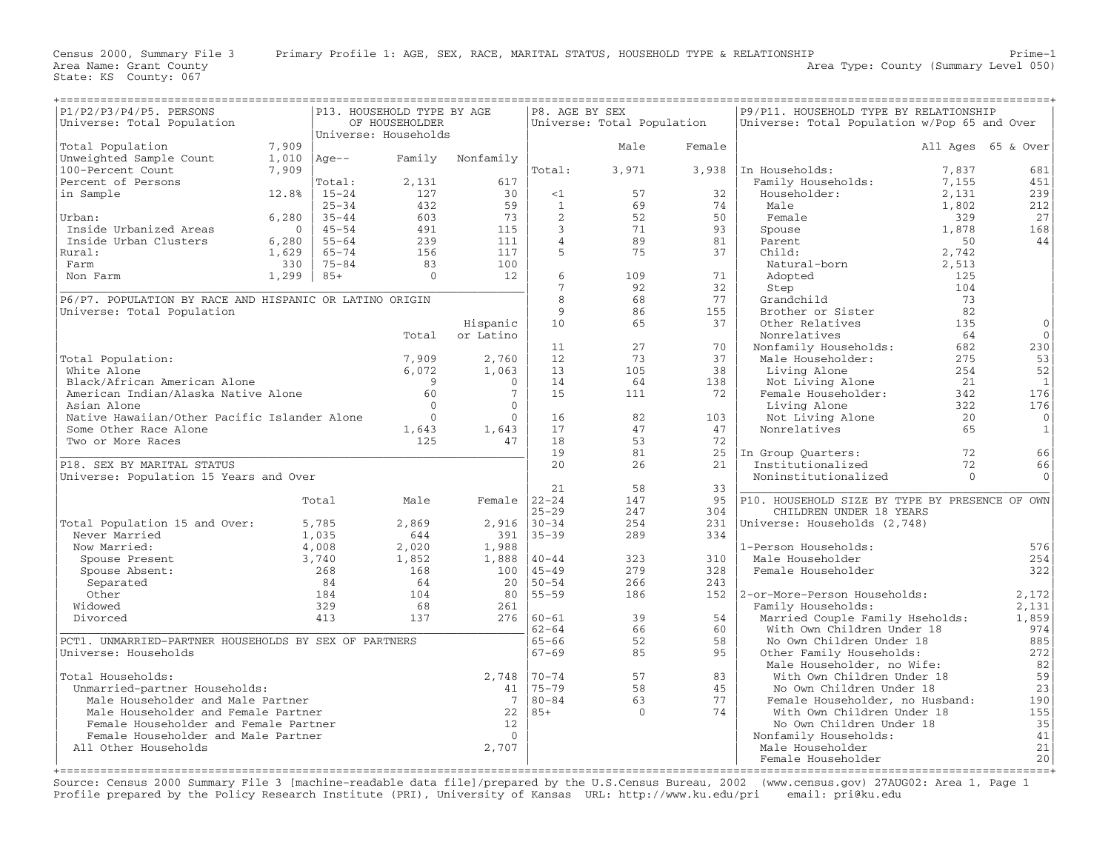| P1/P2/P3/P4/P5. PERSONS                                                      | P13. HOUSEHOLD TYPE BY AGE |                        | P8. AGE BY SEX       |                      |                    | P9/P11. HOUSEHOLD TYPE BY RELATIONSHIP |          |                                                   |                |                    |
|------------------------------------------------------------------------------|----------------------------|------------------------|----------------------|----------------------|--------------------|----------------------------------------|----------|---------------------------------------------------|----------------|--------------------|
| Universe: Total Population                                                   |                            |                        | OF HOUSEHOLDER       |                      |                    | Universe: Total Population             |          | Universe: Total Population w/Pop 65 and Over      |                |                    |
|                                                                              |                            |                        | Universe: Households |                      |                    |                                        |          |                                                   |                |                    |
| Total Population                                                             | 7,909                      |                        |                      |                      |                    | Male                                   | Female   |                                                   |                | All Ages 65 & Over |
| Unweighted Sample Count                                                      | 1,010                      | $Aqe--$                | Family               | Nonfamily            |                    |                                        |          |                                                   |                |                    |
| 100-Percent Count                                                            | 7,909                      |                        |                      |                      | Total:             | 3,971                                  | 3,938    | In Households:                                    | 7,837          | 681                |
| Percent of Persons                                                           |                            | Total:                 | 2,131                | 617                  |                    |                                        |          | Family Households:                                | 7,155          | 451                |
| in Sample                                                                    | 12.8%                      | $15 - 24$<br>$25 - 34$ | 127<br>432           | 30<br>59             | <1<br>$\mathbf{1}$ | 57<br>69                               | 32<br>74 | Householder:<br>Male                              | 2,131<br>1,802 | 239                |
| Urban:                                                                       | 6,280                      | $35 - 44$              | 603                  | 73                   | 2                  | 52                                     | 50       | Female                                            | 329            | 212<br>27          |
| Inside Urbanized Areas                                                       | $\Omega$                   | $45 - 54$              | 491                  | 115                  | 3                  | 71                                     | 93       | Spouse                                            | 1,878          | 168                |
| Inside Urban Clusters                                                        | 6,280                      | $55 - 64$              | 239                  | 111                  | $\overline{4}$     | 89                                     | 81       | Parent                                            | 50             | 44                 |
| Rural:                                                                       | 1,629                      | $65 - 74$              | 156                  | 117                  | 5                  | 75                                     | 37       | Child:                                            | 2,742          |                    |
| Farm                                                                         | 330                        | $75 - 84$              | 83                   | 100                  |                    |                                        |          | Natural-born                                      | 2,513          |                    |
| Non Farm                                                                     | 1,299                      | $85+$                  | $\mathbf{0}$         | 12                   | 6                  | 109                                    | 71       | Adopted                                           | 125            |                    |
|                                                                              |                            |                        |                      |                      | 7                  | 92                                     | 32       | Step                                              | 104            |                    |
| P6/P7. POPULATION BY RACE AND HISPANIC OR LATINO ORIGIN                      |                            |                        |                      |                      | 8                  | 68                                     | 77       | Grandchild                                        | 73             |                    |
| Universe: Total Population                                                   |                            |                        |                      |                      | 9                  | 86                                     | 155      | Brother or Sister                                 | 82             |                    |
|                                                                              |                            |                        |                      | Hispanic             | 10                 | 65                                     | 37       | Other Relatives                                   | 135            | $\mathbf{0}$       |
|                                                                              |                            |                        | Total                | or Latino            |                    |                                        |          | Nonrelatives                                      | 64             | $\Omega$           |
|                                                                              |                            |                        |                      |                      | 11                 | 27                                     | 70       | Nonfamily Households:                             | 682            | 230                |
| Total Population:                                                            |                            |                        | 7,909                | 2,760                | 12                 | 73                                     | 37       | Male Householder:                                 | 275            | 53                 |
| White Alone                                                                  |                            |                        | 6,072                | 1,063                | 13                 | 105                                    | 38       | Living Alone                                      | 254            | 52                 |
| Black/African American Alone                                                 |                            |                        | 9                    | $\Omega$             | 14                 | 64                                     | 138      | Not Living Alone                                  | 21             | 1                  |
| American Indian/Alaska Native Alone                                          |                            |                        | 60                   | $7\phantom{.0}$      | 15                 | 111                                    | 72       | Female Householder:                               | 342            | 176                |
| Asian Alone                                                                  |                            |                        | $\Omega$             | $\mathbf{0}$         |                    |                                        |          | Living Alone                                      | 322            | 176                |
| Native Hawaiian/Other Pacific Islander Alone                                 |                            |                        | $\Omega$             | $\mathbf{0}$         | 16                 | 82                                     | 103      | Not Living Alone                                  | 20             | $\mathbf 0$        |
| Some Other Race Alone                                                        |                            |                        | 1,643                | 1,643                | 17                 | 47                                     | 47       | Nonrelatives                                      | 65             | $\mathbf{1}$       |
| Two or More Races                                                            |                            |                        | 125                  | 47                   | 18                 | 53                                     | 72       |                                                   |                |                    |
|                                                                              |                            |                        |                      |                      | 19                 | 81                                     | 25       | In Group Ouarters:                                | 72             | 66                 |
| P18. SEX BY MARITAL STATUS                                                   |                            |                        |                      |                      | 20                 | 26                                     | 21       | Institutionalized                                 | 72             | 66                 |
| Universe: Population 15 Years and Over                                       |                            |                        |                      |                      | 21                 | 58                                     | 33       | Noninstitutionalized                              | $\Omega$       | $\Omega$           |
|                                                                              |                            | Total                  | Male                 | Female $ 22-24$      |                    | 147                                    | 95       | P10. HOUSEHOLD SIZE BY TYPE BY PRESENCE OF OWN    |                |                    |
|                                                                              |                            |                        |                      |                      | $25 - 29$          | 247                                    | 304      | CHILDREN UNDER 18 YEARS                           |                |                    |
| Total Population 15 and Over:                                                |                            | 5,785                  | 2,869                | 2,916                | $130 - 34$         | 254                                    | 231      | Universe: Households (2,748)                      |                |                    |
| Never Married                                                                |                            | 1,035                  | 644                  | 391                  | $35 - 39$          | 289                                    | 334      |                                                   |                |                    |
| Now Married:                                                                 |                            | 4,008                  | 2,020                | 1,988                |                    |                                        |          | 1-Person Households:                              |                | 576                |
| Spouse Present                                                               |                            | 3,740                  | 1,852                | 1,888                | $40 - 44$          | 323                                    | 310      | Male Householder                                  |                | 254                |
| Spouse Absent:                                                               |                            | 268                    | 168                  | 100                  | $45 - 49$          | 279                                    | 328      | Female Householder                                |                | 322                |
| Separated                                                                    |                            | 84                     | 64                   | 20                   | $50 - 54$          | 266                                    | 243      |                                                   |                |                    |
| Other                                                                        |                            | 184                    | 104                  | 80                   | $55 - 59$          | 186                                    |          | 152   2-or-More-Person Households:                |                | 2,172              |
| Widowed                                                                      |                            | 329                    | 68                   | 261                  |                    |                                        |          | Family Households:                                |                | 2,131              |
| Divorced                                                                     |                            | 413                    | 137                  |                      | $276$ $ 60-61$     | 39                                     | 54       | Married Couple Family Hseholds:                   |                | 1,859              |
|                                                                              |                            |                        |                      |                      | $62 - 64$          | 66                                     | 60       | With Own Children Under 18                        |                | 974                |
| PCT1. UNMARRIED-PARTNER HOUSEHOLDS BY SEX OF PARTNERS                        |                            |                        |                      |                      | $65 - 66$          | 52                                     | 58       | No Own Children Under 18                          |                | 885                |
| Universe: Households                                                         |                            |                        |                      |                      | $67 - 69$          | 85                                     | 95       | Other Family Households:                          |                | 272                |
|                                                                              |                            |                        |                      |                      |                    |                                        |          | Male Householder, no Wife:                        |                | 82                 |
| Total Households:                                                            |                            |                        |                      | 2,748                | $70 - 74$          | 57                                     | 83       | With Own Children Under 18                        |                | 59                 |
| Unmarried-partner Households:                                                |                            |                        |                      | 41                   | $75 - 79$          | 58                                     | 45       | No Own Children Under 18                          |                | 23                 |
| Male Householder and Male Partner                                            |                            |                        |                      | 7                    | $80 - 84$          | 63                                     | 77       | Female Householder, no Husband:                   |                | 190                |
| Male Householder and Female Partner                                          |                            |                        |                      | 22                   | $85+$              | $\Omega$                               | 74       | With Own Children Under 18                        |                | 155                |
| Female Householder and Female Partner<br>Female Householder and Male Partner |                            |                        |                      | 12<br>$\overline{0}$ |                    |                                        |          | No Own Children Under 18<br>Nonfamily Households: |                | 35<br>41           |
| All Other Households                                                         |                            |                        |                      | 2,707                |                    |                                        |          | Male Householder                                  |                | 21                 |
|                                                                              |                            |                        |                      |                      |                    |                                        |          | Female Householder                                |                | 20                 |
|                                                                              |                            |                        |                      |                      |                    |                                        |          |                                                   |                |                    |

Source: Census 2000 Summary File 3 [machine−readable data file]/prepared by the U.S.Census Bureau, 2002 (www.census.gov) 27AUG02: Area 1, Page 1 Profile prepared by the Policy Research Institute (PRI), University of Kansas URL: http://www.ku.edu/pri email: pri@ku.edu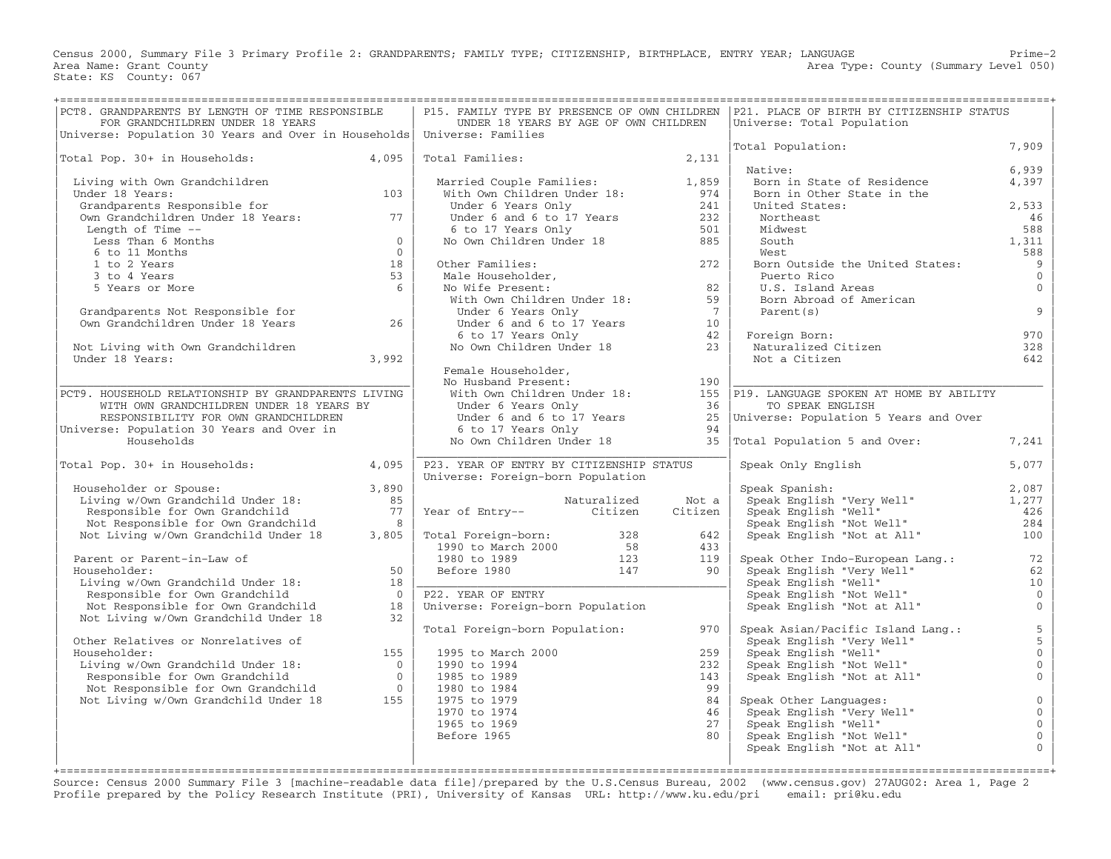Census 2000, Summary File 3 Primary Profile 2: GRANDPARENTS; FAMILY TYPE; CITIZENSHIP, BIRTHPLACE, ENTRY YEAR; LANGUAGE Prime−2 Area Type: County (Summary Level 050) Area Name: Grant County<br>State: KS County: 067

| PCT8. GRANDPARENTS BY LENGTH OF TIME RESPONSIBLE<br>FOR GRANDCHILDREN UNDER 18 YEARS<br>Universe: Population 30 Years and Over in Households   Universe: Families |                | UNDER 18 YEARS BY AGE OF OWN CHILDREN                                                |             |                | P15. FAMILY TYPE BY PRESENCE OF OWN CHILDREN   P21. PLACE OF BIRTH BY CITIZENSHIP STATUS<br>Universe: Total Population                       |                                            |
|-------------------------------------------------------------------------------------------------------------------------------------------------------------------|----------------|--------------------------------------------------------------------------------------|-------------|----------------|----------------------------------------------------------------------------------------------------------------------------------------------|--------------------------------------------|
|                                                                                                                                                                   |                |                                                                                      |             |                | Total Population:                                                                                                                            | 7,909                                      |
| Total Pop. 30+ in Households:                                                                                                                                     | 4,095          | Total Families:                                                                      |             | 2,131          | Native:                                                                                                                                      | 6,939                                      |
| Living with Own Grandchildren                                                                                                                                     |                |                                                                                      |             |                | Born in State of Residence                                                                                                                   | 4,397                                      |
| Under 18 Years:                                                                                                                                                   | 103            | Married Couple Families: 1,859<br>With Own Children Under 18: 974                    |             |                | Born in Other State in the                                                                                                                   |                                            |
| Grandparents Responsible for                                                                                                                                      |                | Under 6 Years Only                                                                   |             | 241            | United States:                                                                                                                               | 2,533                                      |
| Own Grandchildren Under 18 Years: 77                                                                                                                              |                | Under $6$ and $6$ to $17$ Years                                                      |             | 232            | Northeast                                                                                                                                    | 46                                         |
| Length of Time --                                                                                                                                                 |                | 6 to 17 Years Only                                                                   |             | 501            | Midwest                                                                                                                                      | 588                                        |
| Less Than 6 Months                                                                                                                                                | $\overline{0}$ | No Own Children Under 18                                                             |             | 885            | South                                                                                                                                        | 1,311                                      |
| 6 to 11 Months                                                                                                                                                    | $\Omega$       |                                                                                      |             |                | West                                                                                                                                         | 588                                        |
| 1 to 2 Years                                                                                                                                                      | 18             | Other Families:                                                                      |             | 272            | Born Outside the United States:                                                                                                              | 9                                          |
| 3 to 4 Years                                                                                                                                                      | 53             | Male Householder,<br>No Wife Present:<br>With Own Children Under 18:                 |             |                | Puerto Rico                                                                                                                                  | $\overline{0}$                             |
| 5 Years or More                                                                                                                                                   | 6              |                                                                                      |             | 82             | U.S. Island Areas                                                                                                                            | $\mathbf{0}$                               |
|                                                                                                                                                                   |                |                                                                                      |             | 59             | Born Abroad of American                                                                                                                      |                                            |
| Grandparents Not Responsible for                                                                                                                                  |                | Under 6 Years Only                                                                   |             | $\overline{7}$ | Parent (s)                                                                                                                                   | 9                                          |
| Own Grandchildren Under 18 Years                                                                                                                                  | 26             |                                                                                      |             |                |                                                                                                                                              |                                            |
|                                                                                                                                                                   |                | Under 6 and 6 to 17 Years 10<br>6 to 17 Years Only 42<br>No Own Children Under 18 23 |             |                | Foreign Born:<br>Foreign Born:<br>Naturalized Citizen                                                                                        | 970                                        |
| Not Living with Own Grandchildren                                                                                                                                 |                |                                                                                      |             |                |                                                                                                                                              | 328                                        |
| Under 18 Years:                                                                                                                                                   | 3,992          |                                                                                      |             |                | Not a Citizen                                                                                                                                | 642                                        |
|                                                                                                                                                                   |                | Female Householder,                                                                  |             |                |                                                                                                                                              |                                            |
| PCT9. HOUSEHOLD RELATIONSHIP BY GRANDPARENTS LIVING                                                                                                               |                | No Husband Present:<br>With Own Children Under 18:                                   |             | 190            | 155   P19. LANGUAGE SPOKEN AT HOME BY ABILITY                                                                                                |                                            |
| WITH OWN GRANDCHILDREN UNDER 18 YEARS BY                                                                                                                          |                | Under 6 Years Only                                                                   |             | 36             | TO SPEAK ENGLISH                                                                                                                             |                                            |
| RESPONSIBILITY FOR OWN GRANDCHILDREN                                                                                                                              |                | Under 6 and 6 to 17 Years                                                            |             |                | 25   Universe: Population 5 Years and Over                                                                                                   |                                            |
| Universe: Population 30 Years and Over in                                                                                                                         |                | 6 to 17 Years Only                                                                   |             | 94             |                                                                                                                                              |                                            |
| Households                                                                                                                                                        |                | No Own Children Under 18                                                             |             |                | 35 Total Population 5 and Over:                                                                                                              | 7,241                                      |
|                                                                                                                                                                   |                |                                                                                      |             |                |                                                                                                                                              |                                            |
| Total Pop. 30+ in Households:                                                                                                                                     | 4,095          | P23. YEAR OF ENTRY BY CITIZENSHIP STATUS                                             |             |                | Speak Only English                                                                                                                           | 5,077                                      |
|                                                                                                                                                                   |                | Universe: Foreign-born Population                                                    |             |                |                                                                                                                                              |                                            |
| Householder or Spouse:                                                                                                                                            | 3,890          |                                                                                      |             |                | Speak Spanish:<br>speak Spanish:<br>Speak English "Very Well"<br>Speak English "Well"<br>Speak English "Not Well"<br>Peak English "Not Well" | 2,087                                      |
| Living w/Own Grandchild Under 18:                                                                                                                                 | 85             |                                                                                      | Naturalized | Not a          |                                                                                                                                              | 1,277                                      |
| Responsible for Own Grandchild                                                                                                                                    | 77             | Year of Entry-- Citizen                                                              |             | Citizen        |                                                                                                                                              | 426                                        |
| Not Responsible for Own Grandchild                                                                                                                                | $\mathcal{R}$  |                                                                                      |             |                |                                                                                                                                              | 284                                        |
| Not Living w/Own Grandchild Under 18                                                                                                                              | 3,805          | Total Foreign-born: 328<br>1990 to March 2000 58<br>1980 to 1989 123                 |             | 642            | Speak English "Not at All"                                                                                                                   | 100                                        |
|                                                                                                                                                                   |                |                                                                                      |             | 433            |                                                                                                                                              |                                            |
| Parent or Parent-in-Law of<br>Householder:                                                                                                                        | 50             | Before 1980                                                                          | 147         | 119<br>90      | Speak Other Indo-European Lang.:<br>Speak English "Very Well"                                                                                | 72<br>62                                   |
| Living w/Own Grandchild Under 18:                                                                                                                                 | 18             |                                                                                      |             |                |                                                                                                                                              | 10                                         |
| Responsible for Own Grandchild                                                                                                                                    | $\Omega$       | P22. YEAR OF ENTRY                                                                   |             |                |                                                                                                                                              | $\overline{0}$                             |
| Not Responsible for Own Grandchild                                                                                                                                | 18             | Universe: Foreign-born Population                                                    |             |                |                                                                                                                                              | $\overline{0}$                             |
| Not Living w/Own Grandchild Under 18                                                                                                                              | 32             |                                                                                      |             |                |                                                                                                                                              |                                            |
|                                                                                                                                                                   |                | Total Foreign-born Population:                                                       |             | 970            | Speak Asian/Pacific Island Lang.:                                                                                                            |                                            |
| Other Relatives or Nonrelatives of                                                                                                                                |                |                                                                                      |             |                | Speak English "Very Well"<br>Speak English "Well"<br>Speak English "Not Well"                                                                | $\begin{array}{c} 5 \\ 5 \\ 0 \end{array}$ |
| Householder:                                                                                                                                                      | 155            | 1995 to March 2000                                                                   |             | 259            |                                                                                                                                              |                                            |
| Living w/Own Grandchild Under 18:                                                                                                                                 | $\bigcirc$     | 1990 to 1994                                                                         |             | 232            |                                                                                                                                              | $\mathbf 0$                                |
| Responsible for Own Grandchild                                                                                                                                    | $\bigcirc$     | 1985 to 1989                                                                         |             | 143            | Speak English "Not at All"                                                                                                                   | $\overline{0}$                             |
| Not Responsible for Own Grandchild                                                                                                                                | $\overline{0}$ | 1980 to 1984                                                                         |             | 99             |                                                                                                                                              |                                            |
| Not Living w/Own Grandchild Under 18                                                                                                                              | 155            | 1975 to 1979                                                                         |             | 84             | Speak Other Languages:                                                                                                                       | $\mathsf{O}\xspace$                        |
|                                                                                                                                                                   |                | 1970 to 1974                                                                         |             | 46             | Speak English "Very Well"                                                                                                                    | $\mathsf{O}\xspace$                        |
|                                                                                                                                                                   |                | 1965 to 1969                                                                         |             | 27             | Speak English "Well"                                                                                                                         | $\mathsf{O}\xspace$<br>$\overline{0}$      |
|                                                                                                                                                                   |                | Before 1965                                                                          |             | 80             | Speak English "Not Well"                                                                                                                     | $\mathbf{0}$                               |
|                                                                                                                                                                   |                |                                                                                      |             |                | Speak English "Not at All"                                                                                                                   |                                            |
|                                                                                                                                                                   |                |                                                                                      |             |                |                                                                                                                                              |                                            |

Source: Census 2000 Summary File 3 [machine−readable data file]/prepared by the U.S.Census Bureau, 2002 (www.census.gov) 27AUG02: Area 1, Page 2 Profile prepared by the Policy Research Institute (PRI), University of Kansas URL: http://www.ku.edu/pri email: pri@ku.edu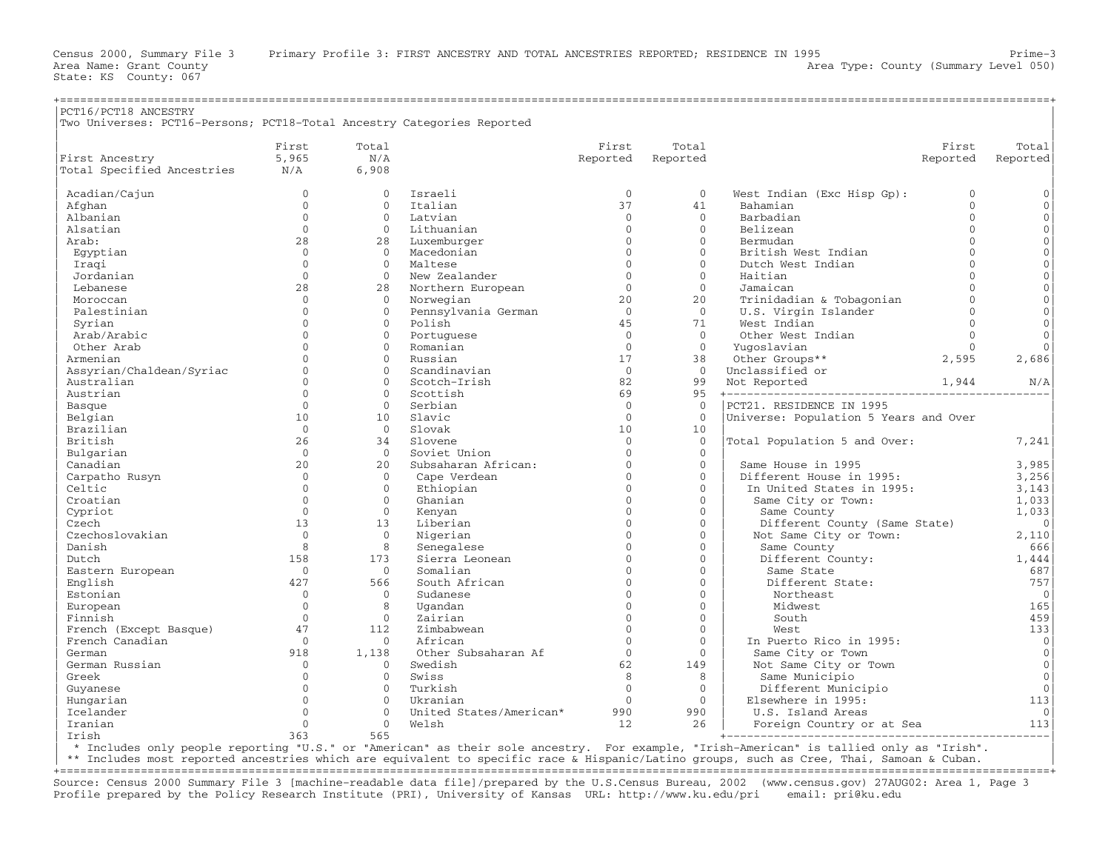| PCT16/PCT18 ANCESTRY                                                   |              |              |                         |              |              |                                       |              |                     |
|------------------------------------------------------------------------|--------------|--------------|-------------------------|--------------|--------------|---------------------------------------|--------------|---------------------|
| Two Universes: PCT16-Persons; PCT18-Total Ancestry Categories Reported |              |              |                         |              |              |                                       |              |                     |
|                                                                        | First        | Total        |                         | First        | Total        |                                       | First        | Total               |
| First Ancestry                                                         | 5,965        | N/A          |                         | Reported     | Reported     |                                       | Reported     | Reported            |
| Total Specified Ancestries                                             | N/A          | 6,908        |                         |              |              |                                       |              |                     |
| Acadian/Cajun                                                          | $\mathbf{0}$ | $\Omega$     | Israeli                 | $\mathbf{0}$ | $\mathbf{0}$ | West Indian (Exc Hisp Gp):            | $\mathbf{0}$ | $\mathbf 0$         |
| Afghan                                                                 | $\Omega$     | $\Omega$     | Ttalian                 | 37           | 41           | Bahamian                              | $\Omega$     | $\mathsf{O}\xspace$ |
| Albanian                                                               | $\mathbf{0}$ | $\Omega$     | Latvian                 | $\mathbf{0}$ | $\Omega$     | Barbadian                             | $\Omega$     | $\mathsf{O}\xspace$ |
| Alsatian                                                               | $\mathbf{0}$ | $\mathbf{0}$ | Lithuanian              | $\mathbf{0}$ | $\mathbf{0}$ | Belizean                              | $\mathbf{0}$ | $\mathsf{O}\xspace$ |
| Arab:                                                                  | 28           | 28           | Luxemburger             | $\Omega$     | $\Omega$     | Bermudan                              | $\Omega$     | $\mathsf{O}\xspace$ |
| Egyptian                                                               | $\mathbf{0}$ | $\mathbf{0}$ | Macedonian              | $\mathbf{O}$ | $\Omega$     | British West Indian                   | $\mathbf{0}$ | $\mathsf{O}\xspace$ |
| Iragi                                                                  | $\Omega$     | $\Omega$     | Maltese                 | $\Omega$     | $\Omega$     | Dutch West Indian                     | $\Omega$     | $\mathsf{O}\xspace$ |
| Jordanian                                                              | $\Omega$     | $\Omega$     | New Zealander           | $\Omega$     | $\Omega$     | Haitian                               | $\Omega$     | $\mathsf{O}\xspace$ |
| Lebanese                                                               | 28           | 28           | Northern European       | $\Omega$     | $\Omega$     | Jamaican                              | $\Omega$     | $\mathsf{O}\xspace$ |
| Moroccan                                                               | $\Omega$     | $\Omega$     | Norwegian               | 20           | 20           | Trinidadian & Tobagonian              | $\Omega$     | $\mathsf{O}\xspace$ |
| Palestinian                                                            | $\Omega$     | $\Omega$     | Pennsylvania German     | $\Omega$     | $\Omega$     | U.S. Virgin Islander                  | $\Omega$     | $\mathbf 0$         |
| Syrian                                                                 | $\mathbf{0}$ | $\mathbf{0}$ | Polish                  | 45           | 71           | West Indian                           | $\mathbf{0}$ | $\mathsf{O}\xspace$ |
| Arab/Arabic                                                            | $\Omega$     | $\Omega$     | Portuguese              | $\Omega$     | $\Omega$     | Other West Indian                     | $\Omega$     | $\Omega$            |
| Other Arab                                                             | $\Omega$     | $\mathbf{O}$ | Romanian                | $\mathbf{0}$ | $\mathbf{0}$ | Yuqoslavian                           | $\mathbf{0}$ | $\mathbf 0$         |
| Armenian                                                               | $\Omega$     | $\Omega$     | Russian                 | 17           | 38           | Other Groups**                        | 2,595        | 2,686               |
| Assyrian/Chaldean/Syriac                                               | $\Omega$     | $\Omega$     | Scandinavian            | $\Omega$     | $\Omega$     | Unclassified or                       |              |                     |
| Australian                                                             | $\Omega$     | $\Omega$     | Scotch-Irish            | 82           | 99           | Not Reported                          | 1,944        | N/A                 |
| Austrian                                                               | $\Omega$     | $\Omega$     | Scottish                | 69           | 95           |                                       |              |                     |
| Basque                                                                 | $\Omega$     | $\Omega$     | Serbian                 | $\Omega$     | $\Omega$     | PCT21. RESIDENCE IN 1995              |              |                     |
| Belgian                                                                | 10           | 10           | Slavic                  | $\Omega$     | $\Omega$     | Universe: Population 5 Years and Over |              |                     |
| Brazilian                                                              | $\mathbf{0}$ | $\Omega$     | Slovak                  | 10           | 10           |                                       |              |                     |
| British                                                                | 26           | 34           | Slovene                 | $\Omega$     | $\Omega$     | Total Population 5 and Over:          |              | 7,241               |
| Bulgarian                                                              | $\mathbf{0}$ | $\Omega$     | Soviet Union            | $\Omega$     | $\mathbf{0}$ |                                       |              |                     |
| Canadian                                                               | 20           | 2.0          | Subsaharan African:     | $\Omega$     | $\Omega$     | Same House in 1995                    |              | 3,985               |
| Carpatho Rusyn                                                         | $\mathbf{0}$ | $\Omega$     | Cape Verdean            | $\Omega$     | $\Omega$     | Different House in 1995:              |              | 3,256               |
| Celtic                                                                 | $\Omega$     | $\Omega$     | Ethiopian               | $\Omega$     | $\Omega$     | In United States in 1995:             |              | 3,143               |
| Croatian                                                               | $\Omega$     | $\mathbf{0}$ | Ghanian                 | $\Omega$     | $\Omega$     | Same City or Town:                    |              | 1,033               |
| Cypriot                                                                | $\Omega$     | $\Omega$     | Kenyan                  | $\Omega$     | $\Omega$     | Same County                           |              | 1,033               |
| Czech                                                                  | 13           | 13           | Liberian                | $\Omega$     | $\mathbf{0}$ | Different County (Same State)         |              | $\overline{0}$      |
| Czechoslovakian                                                        | $\Omega$     | $\Omega$     | Nigerian                | $\Omega$     | $\Omega$     | Not Same City or Town:                |              | 2,110               |
| Danish                                                                 | 8            | 8            | Senegalese              | $\Omega$     | $\mathbf{0}$ | Same County                           |              | 666                 |
| Dutch                                                                  | 158          | 173          | Sierra Leonean          | $\Omega$     | $\Omega$     | Different County:                     |              | 1,444               |
| Eastern European                                                       | $\mathbf{0}$ | $\mathbf{0}$ | Somalian                | $\Omega$     | $\mathbf{0}$ | Same State                            |              | 687                 |
| English                                                                | 427          | 566          | South African           | $\Omega$     | $\Omega$     | Different State:                      |              | 757                 |
| Estonian                                                               | $\Omega$     | $\Omega$     | Sudanese                | $\Omega$     | $\Omega$     | Northeast                             |              | $\overline{0}$      |
| European                                                               | $\Omega$     | 8            | Ugandan                 | $\Omega$     | $\Omega$     | Midwest                               |              | 165                 |
| Finnish                                                                | $\Omega$     | $\Omega$     | Zairian                 | $\Omega$     | $\mathbf{0}$ | South                                 |              | 459                 |
| French (Except Basque)                                                 | 47           | 112          | Zimbabwean              | $\Omega$     | $\Omega$     | West                                  |              | 133                 |
| French Canadian                                                        | $\Omega$     | $\Omega$     | African                 | $\Omega$     | $\Omega$     | In Puerto Rico in 1995:               |              | $\mathbf 0$         |
| German                                                                 | 918          | 1,138        | Other Subsaharan Af     | $\Omega$     | $\Omega$     | Same City or Town                     |              | $\mathbf 0$         |
| German Russian                                                         | $\mathbf 0$  | $\Omega$     | Swedish                 | 62           | 149          | Not Same City or Town                 |              | $\circ$             |
| Greek                                                                  | $\mathbf{0}$ | $\mathbf{0}$ | Swiss                   | 8            | 8            | Same Municipio                        |              | $\mathbf 0$         |
| Guyanese                                                               | $\Omega$     | $\Omega$     | Turkish                 | $\Omega$     | $\Omega$     | Different Municipio                   |              | $\Omega$            |
| Hungarian                                                              | $\mathbf{0}$ | $\mathbf{0}$ | Ukranian                | $\mathbf{0}$ | $\mathbf{0}$ | Elsewhere in 1995:                    |              | 113                 |
| Icelander                                                              | $\Omega$     | $\Omega$     | United States/American* | 990          | 990          | U.S. Island Areas                     |              | $\Omega$            |
| Iranian                                                                | $\Omega$     | $\mathbf{O}$ | Welsh                   | 12           | 26           | Foreign Country or at Sea             |              | 113                 |
| Trish                                                                  | 363          | 565          |                         |              |              |                                       |              |                     |

| \* Includes only people reporting "U.S." or "American" as their sole ancestry. For example, "Irish−American" is tallied only as "Irish". |

\*\* Includes most reported ancestries which are equivalent to specific race & Hispanic/Latino groups, such as Cree, Thai, Samoan & Cuban. +===================================================================================================================================================+

Source: Census 2000 Summary File 3 [machine−readable data file]/prepared by the U.S.Census Bureau, 2002 (www.census.gov) 27AUG02: Area 1, Page 3 Profile prepared by the Policy Research Institute (PRI), University of Kansas URL: http://www.ku.edu/pri email: pri@ku.edu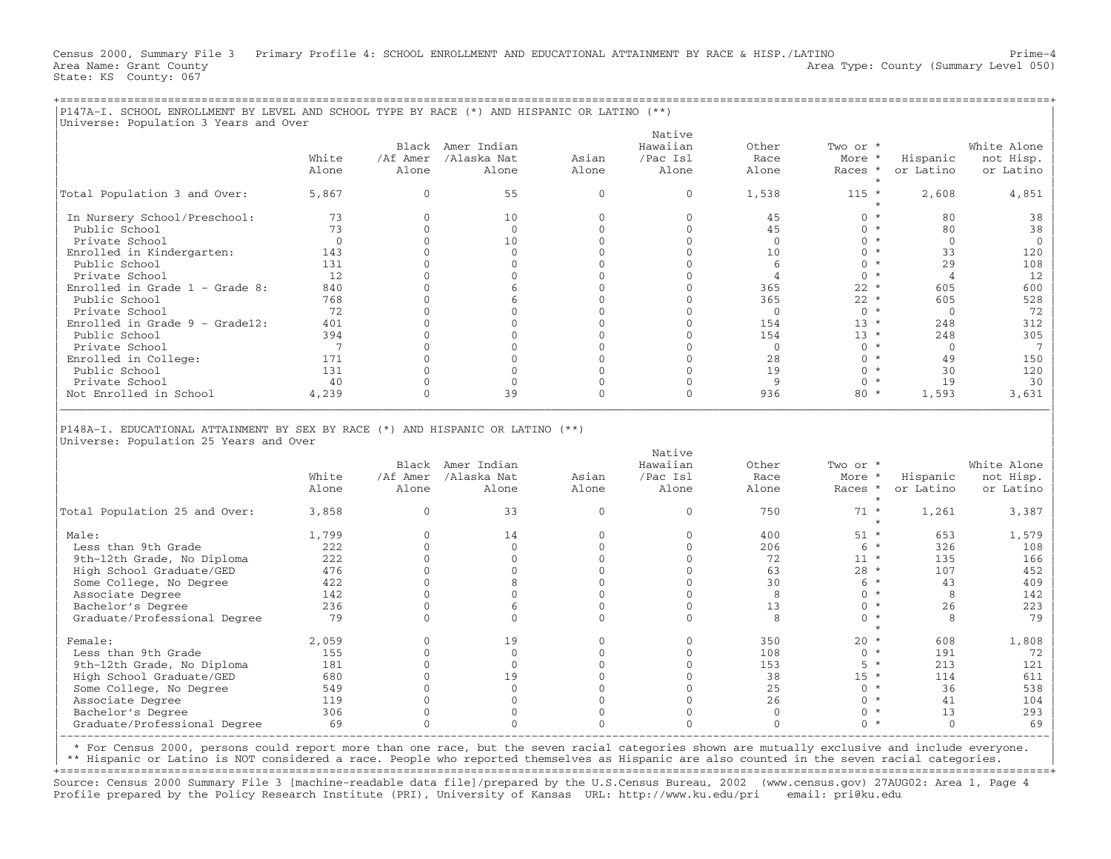Census 2000, Summary File 3 Primary Profile 4: SCHOOL ENROLLMENT AND EDUCATIONAL ATTAINMENT BY RACE & HISP./LATINO Prime−4 Area Name: Grant County Area Type: County (Summary Level 050) Stat

|P147A−I. SCHOOL ENROLLMENT BY LEVEL AND SCHOOL TYPE BY RACE (\*) AND HISPANIC OR LATINO (\*\*) |

| Area Name: Grant County | Area Type: County (Summary Level 050) |  |
|-------------------------|---------------------------------------|--|
| State: KS County: 067   |                                       |  |
|                         |                                       |  |
|                         |                                       |  |

| Universe: Population 3 Years and Over                                                                                    |                 |                      |                                           |                      |                                         |                        |                               |                       |                                       |
|--------------------------------------------------------------------------------------------------------------------------|-----------------|----------------------|-------------------------------------------|----------------------|-----------------------------------------|------------------------|-------------------------------|-----------------------|---------------------------------------|
|                                                                                                                          | White<br>Alone  | /Af Amer<br>Alone    | Black Amer Indian<br>/Alaska Nat<br>Alone | Asian<br>Alone       | Native<br>Hawaiian<br>/Pac Isl<br>Alone | Other<br>Race<br>Alone | Two or *<br>More *<br>Races * | Hispanic<br>or Latino | White Alone<br>not Hisp.<br>or Latino |
| Total Population 3 and Over:                                                                                             | 5,867           | $\Omega$             | 55                                        | $\mathbf{0}$         | $\mathbf{0}$                            | 1,538                  | $\star$<br>$115 *$            | 2,608                 | 4,851                                 |
|                                                                                                                          |                 |                      |                                           |                      |                                         |                        | $\star$                       |                       |                                       |
| In Nursery School/Preschool:                                                                                             | 73              | $\Omega$             | 10                                        | $\mathbf{0}$         | $\mathbf{0}$                            | 4.5                    | $0 *$                         | 80                    | 38                                    |
| Public School                                                                                                            | 73              | $\Omega$             | $\mathbf{0}$                              | $\Omega$             | $\Omega$                                | 45                     | $0 *$                         | 80                    | 38                                    |
| Private School                                                                                                           | $\mathbf{0}$    | $\Omega$             | 10                                        | $\Omega$             | $\Omega$                                | $\mathbf{0}$           | $0 *$                         | $\mathbf{0}$          | $\overline{0}$                        |
| Enrolled in Kindergarten:                                                                                                | 143             | $\mathbf{0}$         | $\mathbf{0}$                              | $\Omega$             | $\Omega$                                | 10                     | $0 *$                         | 33                    | 120                                   |
| Public School                                                                                                            | 131             | $\Omega$             | $\mathbf{0}$                              | $\Omega$             | $\Omega$                                | 6                      | $0 *$                         | 29                    | 108                                   |
| Private School                                                                                                           | 12              | $\Omega$             | $\mathbf{0}$                              | $\Omega$             | $\Omega$                                | $\overline{4}$         | $0 *$                         | $\overline{4}$        | 12                                    |
| Enrolled in Grade $1$ - Grade 8:                                                                                         | 840             | $\Omega$             | 6                                         | $\Omega$             | $\Omega$                                | 365                    | $22 *$                        | 605                   | 600                                   |
| Public School                                                                                                            | 768             | $\Omega$             | 6                                         | $\Omega$             | $\Omega$                                | 365                    | $22 *$                        | 605                   | 528                                   |
| Private School                                                                                                           | 72              | $\Omega$             | $\mathbf{0}$                              | $\Omega$             | $\Omega$                                | $\Omega$               | $0 *$                         | $\Omega$              | 72                                    |
| Enrolled in Grade $9 -$ Grade12:                                                                                         | 401             | $\Omega$             | $\Omega$                                  | $\Omega$             | $\Omega$                                | 154                    | $13 *$                        | 248                   | 312                                   |
| Public School                                                                                                            | 394             | $\mathbf{0}$         | $\mathbf{0}$                              | $\mathbf{0}$         | $\mathbf{0}$                            | 154                    | $13 *$                        | 248                   | 305                                   |
| Private School                                                                                                           | $7\phantom{.0}$ | $\Omega$             | $\Omega$                                  | $\Omega$             | $\Omega$                                | $\mathbf{0}$           | $0 *$                         | $\mathbf{0}$          | $7\phantom{.0}$                       |
| Enrolled in College:                                                                                                     | 171             | $\Omega$             | $\mathbf{0}$                              | $\Omega$             | $\Omega$                                | 28                     | $0 *$                         | 49                    | 150                                   |
| Public School                                                                                                            | 131             | $\Omega$             | $\Omega$                                  | $\Omega$             | $\Omega$                                | 19                     | $0 *$                         | 30                    | 120                                   |
| Private School                                                                                                           | 40              | $\Omega$             | $\mathbf{0}$                              | $\Omega$             | $\mathbf{0}$                            | 9                      | $0 *$                         | 19                    | 30                                    |
| Not Enrolled in School                                                                                                   | 4,239           | $\Omega$             | 39                                        | $\Omega$             | $\Omega$                                | 936                    | $80 *$                        | 1,593                 | 3,631                                 |
| P148A-I. EDUCATIONAL ATTAINMENT BY SEX BY RACE (*) AND HISPANIC OR LATINO (**)<br>Universe: Population 25 Years and Over |                 |                      |                                           |                      |                                         |                        |                               |                       |                                       |
|                                                                                                                          |                 |                      | Black Amer Indian                         |                      | Native<br>Hawaiian                      | Other                  | Two or *                      |                       | White Alone                           |
|                                                                                                                          | White           | /Af Amer             | /Alaska Nat                               | Asian                | /Pac Isl                                | Race                   | More *                        | Hispanic              | not Hisp.                             |
|                                                                                                                          | Alone           | Alone                | Alone                                     | Alone                | Alone                                   | Alone                  | Races *                       | or Latino             | or Latino                             |
| Total Population 25 and Over:                                                                                            | 3,858           | $\Omega$             | 33                                        | $\Omega$             | $\Omega$                                | 750                    | $71 *$<br>$\star$             | 1,261                 | 3,387                                 |
| Male:                                                                                                                    | 1,799           | $\Omega$             | 14                                        | $\mathbf{0}$         | $\mathbf{0}$                            | 400                    | $51 *$                        | 653                   | 1,579                                 |
| Less than 9th Grade                                                                                                      | 222             | $\Omega$             | $\mathbf{0}$                              | $\Omega$             | $\Omega$                                | 206                    | $6*$                          | 326                   | 108                                   |
| 9th-12th Grade, No Diploma                                                                                               | 222             | $\Omega$             | $\mathbf{0}$                              | $\Omega$             | $\mathbf{0}$                            | 72                     | $11 *$                        | 135                   | 166                                   |
| High School Graduate/GED                                                                                                 | 476             | $\Omega$             | $\Omega$                                  | $\Omega$             | $\Omega$                                | 63                     | $28 *$                        | 107                   | 452                                   |
| Some College, No Degree                                                                                                  | 422             | $\Omega$             | 8                                         | $\Omega$             | $\Omega$                                | 30                     | $6*$                          | 43                    | 409                                   |
| Associate Degree                                                                                                         | 142             | $\Omega$             | $\Omega$                                  | $\Omega$             | $\Omega$                                | 8                      | $0 *$                         | 8                     | 142                                   |
| Bachelor's Degree                                                                                                        | 236             | $\Omega$             | 6                                         | $\Omega$             | $\Omega$                                | 13                     | $0 *$                         | 2.6                   | 223                                   |
| Graduate/Professional Degree                                                                                             | 79              | $\Omega$             | $\Omega$                                  | $\Omega$             | $\Omega$                                | 8                      | $0 *$<br>$\star$              | 8                     | 79                                    |
| Female:                                                                                                                  |                 |                      |                                           |                      |                                         |                        |                               |                       |                                       |
| Less than 9th Grade                                                                                                      | 2,059           | $\mathbf{0}$         | 19                                        | $\mathbf{0}$         | $\mathbf{0}$                            | 350                    | $20 *$                        | 608                   | 1,808                                 |
|                                                                                                                          | 155             | $\mathbf{0}$         | $\mathbf{0}$                              | $\mathbf{0}$         | $\mathbf{0}$                            | 108                    | $0 *$                         | 191                   | 72                                    |
| 9th-12th Grade, No Diploma                                                                                               | 181             | $\Omega$             | $\mathbf{0}$                              | $\Omega$             | $\Omega$                                | 153                    | $5 *$                         | 213                   | 121                                   |
| High School Graduate/GED                                                                                                 | 680             | $\Omega$             | 19                                        | $\Omega$             | $\Omega$                                | 38                     | $15 *$                        | 114                   | 611                                   |
| Some College, No Degree                                                                                                  | 549             | $\Omega$             | $\mathbf{0}$                              | $\Omega$             | $\Omega$                                | 25                     | $0 *$                         | 36                    | 538                                   |
| Associate Degree<br>Bachelor's Degree                                                                                    | 119<br>306      | $\Omega$<br>$\Omega$ | $\mathbf{0}$<br>$\Omega$                  | $\Omega$<br>$\Omega$ | $\Omega$<br>$\Omega$                    | 26<br>$\Omega$         | $0 *$<br>$0 *$                | 41<br>13              | 104<br>293                            |

|−−−−−−−−−−−−−−−−−−−−−−−−−−−−−−−−−−−−−−−−−−−−−−−−−−−−−−−−−−−−−−−−−−−−−−−−−−−−−−−−−−−−−−−−−−−−−−−−−−−−−−−−−−−−−−−−−−−−−−−−−−−−−−−−−−−−−−−−−−−−−−−−−−−| | \* For Census 2000, persons could report more than one race, but the seven racial categories shown are mutually exclusive and include everyone. |

 $Gradient/Professional Degree$  69 0 0 0 0 0 0 0  $0 \times 0$  0 69

\*\* Hispanic or Latino is NOT considered a race. People who reported themselves as Hispanic are also counted in the seven racial categories. +===================================================================================================================================================+

Source: Census 2000 Summary File 3 [machine−readable data file]/prepared by the U.S.Census Bureau, 2002 (www.census.gov) 27AUG02: Area 1, Page 4 Profile prepared by the Policy Research Institute (PRI), University of Kansas URL: http://www.ku.edu/pri email: pri@ku.edu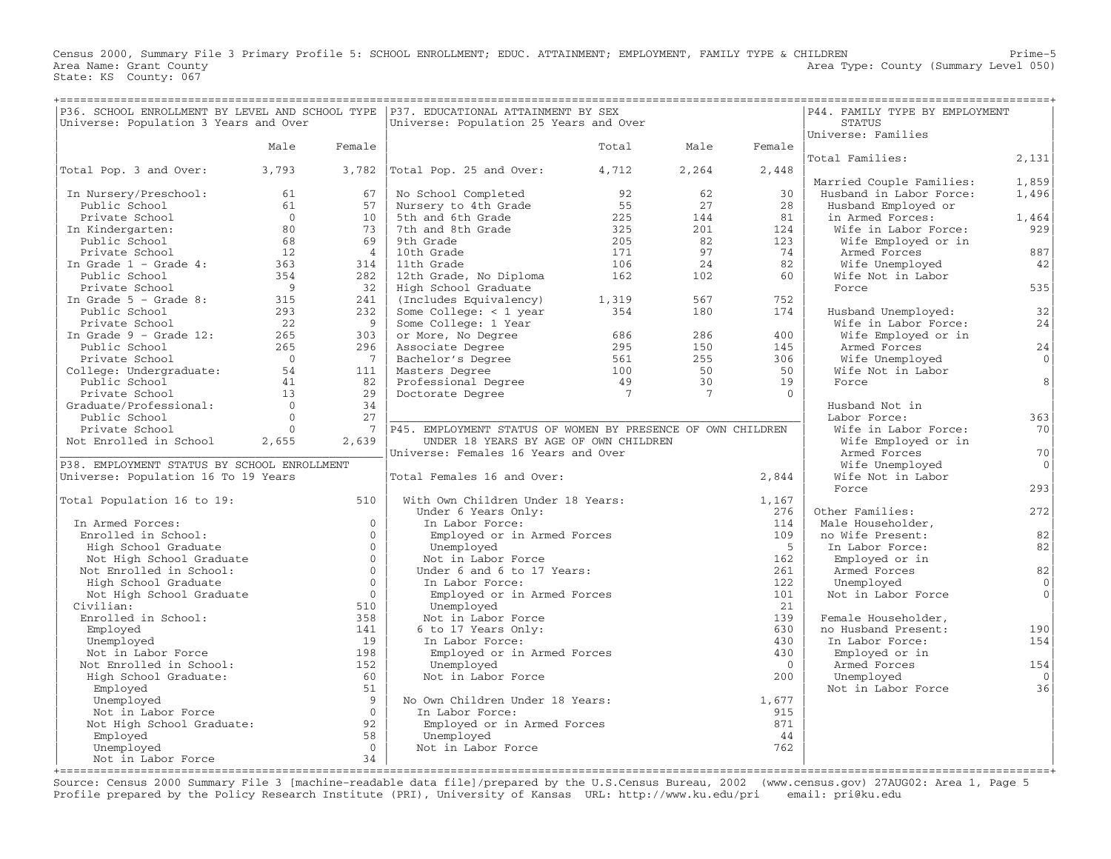Census 2000, Summary File 3 Primary Profile 5: SCHOOL ENROLLMENT; EDUC. ATTAINMENT; EMPLOYMENT, FAMILY TYPE & CHILDREN Prime−5 Area Name: Grant County **Area Type: County** (Summary Level 050) State: KS County: 067

| P36. SCHOOL ENROLLMENT BY LEVEL AND SCHOOL TYPE   P37. EDUCATIONAL ATTAINMENT BY SEX |                |                 |                                                             | P44. FAMILY TYPE BY EMPLOYMENT |                 |                |                                     |                |
|--------------------------------------------------------------------------------------|----------------|-----------------|-------------------------------------------------------------|--------------------------------|-----------------|----------------|-------------------------------------|----------------|
| Universe: Population 3 Years and Over                                                |                |                 | Universe: Population 25 Years and Over                      |                                |                 |                | <b>STATUS</b><br>Universe: Families |                |
|                                                                                      | Male           | Female          |                                                             | Total                          | Male            | Female         |                                     |                |
|                                                                                      |                |                 |                                                             |                                |                 |                | Total Families:                     | 2,131          |
| Total Pop. 3 and Over:                                                               | 3,793          |                 | $3,782$ Total Pop. 25 and Over:                             | 4,712                          | 2,264           | 2,448          |                                     |                |
|                                                                                      |                |                 |                                                             |                                |                 |                | Married Couple Families:            | 1,859          |
| In Nursery/Preschool:                                                                | 61             | 67              | No School Completed                                         | 92                             | 62              | 30             | Husband in Labor Force:             | 1,496          |
| Public School                                                                        | 61             | 57              | Nursery to 4th Grade                                        | 55                             | 27              | 28             | Husband Employed or                 |                |
| Private School                                                                       | $\bigcirc$     | 10              | 5th and 6th Grade                                           | 225                            | 144             | 81             | in Armed Forces:                    | 1,464          |
| In Kindergarten:                                                                     | 80             | 73              | 7th and 8th Grade                                           | 325                            | 201             | 124            | Wife in Labor Force:                | 929            |
| Public School                                                                        | 68             | 69              | 9th Grade                                                   | 205                            | 82              | 123            | Wife Employed or in                 |                |
| Private School                                                                       | 12             | $\overline{4}$  | 10th Grade                                                  | 171                            | 97              | 74             | Armed Forces                        | 887            |
| In Grade $1$ - Grade $4$ :                                                           | 363            | 314             | 11th Grade                                                  | 106                            | 24              | 82             | Wife Unemployed                     | 42             |
| Public School                                                                        | 354            | 282             | 12th Grade, No Diploma                                      | 162                            | 102             | 60             | Wife Not in Labor                   |                |
| Private School                                                                       | $\overline{9}$ | 32              | High School Graduate                                        |                                |                 |                | Force                               | 535            |
| In Grade $5 -$ Grade 8:                                                              | 315            | 241             | (Includes Equivalency)                                      | 1,319                          | 567             | 752            |                                     |                |
| Public School                                                                        | 293            | 232             | Some College: $<$ 1 year                                    | 354                            | 180             | 174            | Husband Unemployed:                 | 32             |
| Private School                                                                       | 22             | 9               | Some College: 1 Year                                        |                                |                 |                | Wife in Labor Force:                | 24             |
| In Grade $9$ - Grade 12:                                                             | 265            | 303             | or More, No Degree                                          | 686                            | 286             | 400            | Wife Employed or in                 |                |
| Public School                                                                        | 265            | 296             | Associate Degree                                            | 295                            | 150             | 145            | Armed Forces                        | $2\sqrt{4}$    |
| Private School                                                                       | $\overline{0}$ | $7\overline{ }$ | Bachelor's Degree                                           | 561                            | 255             | 306            | Wife Unemployed                     | $\Omega$       |
| College: Undergraduate:                                                              | 54             | 111             | Masters Degree                                              | 100                            | 50              | 50             | Wife Not in Labor                   |                |
| Public School                                                                        | 41             | 82              | Professional Degree                                         | 49                             | 30              | 19             | Force                               | 8              |
| Private School                                                                       | 13             | 29              | Doctorate Degree                                            | $\overline{7}$                 | $7\phantom{.0}$ | $\Omega$       |                                     |                |
| Graduate/Professional:                                                               | $\Omega$       | 34              |                                                             |                                |                 |                | Husband Not in                      |                |
| Public School                                                                        | $\Omega$       | 27              |                                                             |                                |                 |                | Labor Force:                        | 363            |
| Private School                                                                       | $\Omega$       | 7               | P45. EMPLOYMENT STATUS OF WOMEN BY PRESENCE OF OWN CHILDREN |                                |                 |                | Wife in Labor Force:                | 70             |
| Not Enrolled in School                                                               | 2,655          | 2,639           | UNDER 18 YEARS BY AGE OF OWN CHILDREN                       |                                |                 |                | Wife Employed or in                 |                |
|                                                                                      |                |                 | Universe: Females 16 Years and Over                         |                                |                 |                | Armed Forces                        | 70             |
| P38. EMPLOYMENT STATUS BY SCHOOL ENROLLMENT                                          |                |                 |                                                             |                                |                 |                | Wife Unemployed                     | 0 <sup>1</sup> |
| Universe: Population 16 To 19 Years                                                  |                |                 | Total Females 16 and Over:                                  |                                |                 | 2,844          | Wife Not in Labor                   |                |
|                                                                                      |                |                 |                                                             |                                |                 |                | Force                               | 293            |
| Total Population 16 to 19:                                                           |                | 510             | With Own Children Under 18 Years:                           |                                |                 | 1,167          |                                     |                |
|                                                                                      |                | $\Omega$        | Under 6 Years Only:                                         |                                |                 | 276            | Other Families:                     | 272            |
| In Armed Forces:                                                                     |                | $\Omega$        | In Labor Force:                                             |                                |                 | 114            | Male Householder,                   | 82             |
| Enrolled in School:                                                                  |                | $\Omega$        | Employed or in Armed Forces                                 |                                |                 | 109<br>$-5$    | no Wife Present:                    |                |
| High School Graduate                                                                 |                | $\Omega$        | Unemployed<br>Not in Labor Force                            |                                |                 | 162            | In Labor Force:                     | 82             |
| Not High School Graduate<br>Not Enrolled in School:                                  |                | $\Omega$        | Under 6 and 6 to 17 Years:                                  |                                |                 | 261            | Employed or in<br>Armed Forces      | 82             |
| High School Graduate                                                                 |                | $\mathbf{0}$    | In Labor Force:                                             |                                |                 | 122            | Unemployed                          | $\mathbf 0$    |
| Not High School Graduate                                                             |                | $\Omega$        | Employed or in Armed Forces                                 |                                |                 | 101            | Not in Labor Force                  | $\Omega$       |
| Civilian:                                                                            |                | 510             | Unemployed                                                  |                                |                 | 21             |                                     |                |
| Enrolled in School:                                                                  |                | 358             | Not in Labor Force                                          |                                |                 | 139            | Female Householder,                 |                |
| Employed                                                                             |                | 141             | 6 to 17 Years Only:                                         |                                |                 | 630            | no Husband Present:                 | 190            |
| Unemployed                                                                           |                | 19              | In Labor Force:                                             |                                |                 | 430            | In Labor Force:                     | 154            |
| Not in Labor Force                                                                   |                | 198             | Employed or in Armed Forces                                 |                                |                 | 430            | Employed or in                      |                |
| Not Enrolled in School:                                                              |                | 152             | Unemployed                                                  |                                |                 | $\overline{0}$ | Armed Forces                        | 154            |
| High School Graduate:                                                                |                | 60              | Not in Labor Force                                          |                                |                 | 200            | Unemployed                          | $\Omega$       |
| Employed                                                                             |                | 51              |                                                             |                                |                 |                | Not in Labor Force                  | 36             |
| Unemployed                                                                           |                | 9               | No Own Children Under 18 Years:                             |                                |                 | 1,677          |                                     |                |
| Not in Labor Force                                                                   |                | $\overline{0}$  | In Labor Force:                                             |                                |                 | 915            |                                     |                |
| Not High School Graduate:                                                            |                | 92              | Employed or in Armed Forces                                 |                                |                 | 871            |                                     |                |
| Employed                                                                             |                | 58              | Unemployed                                                  |                                |                 | 44             |                                     |                |
| Unemployed                                                                           |                | $\Omega$        | Not in Labor Force                                          |                                |                 | 762            |                                     |                |
| Not in Labor Force                                                                   |                | 34              |                                                             |                                |                 |                |                                     |                |
|                                                                                      |                |                 |                                                             |                                |                 |                |                                     |                |

Source: Census 2000 Summary File 3 [machine−readable data file]/prepared by the U.S.Census Bureau, 2002 (www.census.gov) 27AUG02: Area 1, Page 5 Profile prepared by the Policy Research Institute (PRI), University of Kansas URL: http://www.ku.edu/pri email: pri@ku.edu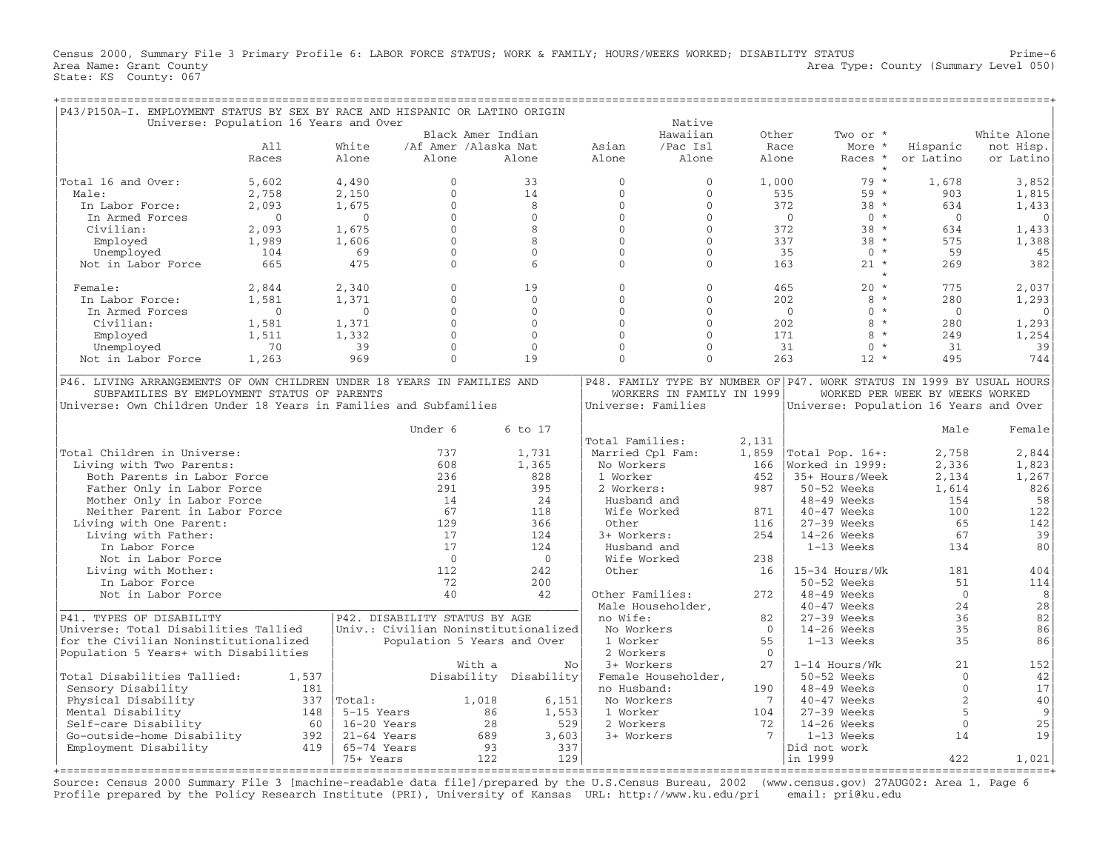Census 2000, Summary File 3 Primary Profile 6: LABOR FORCE STATUS; WORK & FAMILY; HOURS/WEEKS WORKED; DISABILITY STATUS Prime−6 Area Name: Grant County 1999 (Summary Level 050) Area Type: County (Summary Level 050) State: KS County: 067

| P43/P150A-I. EMPLOYMENT STATUS BY SEX BY RACE AND HISPANIC OR LATINO ORIGIN |                                        |                                      |                             |                       |                    |                           |          |                                                                       |                                 |              |
|-----------------------------------------------------------------------------|----------------------------------------|--------------------------------------|-----------------------------|-----------------------|--------------------|---------------------------|----------|-----------------------------------------------------------------------|---------------------------------|--------------|
|                                                                             | Universe: Population 16 Years and Over |                                      |                             |                       |                    | Native                    |          |                                                                       |                                 |              |
|                                                                             |                                        |                                      | Black Amer Indian           |                       |                    | Hawaiian                  | Other    | Two or *                                                              |                                 | White Alone  |
|                                                                             | A11                                    | White                                | /Af Amer /Alaska Nat        |                       | Asian              | /Pac Isl                  | Race     | More *                                                                | Hispanic                        | not Hisp.    |
|                                                                             | Races                                  | Alone                                | Alone                       | Alone                 | Alone              | Alone                     | Alone    | Races *                                                               | or Latino                       | or Latino    |
| Total 16 and Over:                                                          | 5,602                                  | 4,490                                | $\mathbf 0$                 | 33                    | $\mathbf{0}$       | $\mathbf{0}$              | 1,000    | $79 *$                                                                | 1,678                           | 3,852        |
|                                                                             |                                        |                                      | $\Omega$                    | 14                    | $\Omega$           | $\Omega$                  |          | 59 *                                                                  |                                 |              |
| Male:                                                                       | 2,758                                  | 2,150                                |                             |                       |                    |                           | 535      |                                                                       | 903                             | 1,815        |
| In Labor Force:                                                             | 2,093                                  | 1,675                                | $\mathbf{0}$                | 8                     | $\mathbf{0}$       | $\mathbf 0$               |          | 372<br>$38 *$                                                         | 634                             | 1,433        |
| In Armed Forces                                                             | $\Omega$                               | $\Omega$                             | $\Omega$                    | $\Omega$              | $\Omega$           | $\Omega$                  |          | $\Omega$<br>$0 *$                                                     | $\Omega$                        | $\Omega$     |
| Civilian:                                                                   | 2,093                                  | 1,675                                | $\Omega$                    | 8                     | $\Omega$           | $\Omega$                  | 372      | $38 *$                                                                | 634                             | 1,433        |
| Employed                                                                    | 1,989                                  | 1,606                                | $\Omega$                    | 8                     | $\Omega$           | $\Omega$                  |          | 337<br>$38 *$                                                         | 575                             | 1,388        |
| Unemployed                                                                  | 104                                    | 69                                   | $\mathbf{0}$                | $\Omega$              | $\Omega$           | $\Omega$                  |          | $0 *$<br>35                                                           | 59                              | 45           |
| Not in Labor Force                                                          | 665                                    | 475                                  | $\Omega$                    | $6\overline{6}$       | $\Omega$           | $\Omega$                  | 163      | $21 *$                                                                | 269                             | 382          |
| Female:                                                                     | 2,844                                  | 2,340                                | $\Omega$                    | 19                    | $\Omega$           | $\Omega$                  |          | $\star$<br>465<br>$20 *$                                              | 775                             | 2,037        |
| In Labor Force:                                                             | 1,581                                  | 1,371                                | $\mathbf 0$                 | $\Omega$              | $\Omega$           | $\mathbf 0$               | 202      | $8 *$                                                                 | 280                             | 1,293        |
| In Armed Forces                                                             | $\Omega$                               | $\Omega$                             | $\Omega$                    | $\Omega$              | $\Omega$           | $\Omega$                  |          | $\Omega$<br>$\Omega$<br>$\star$                                       | $\Omega$                        | $\mathbf{0}$ |
|                                                                             |                                        | 1,371                                | $\mathbf{0}$                | $\Omega$              | $\Omega$           | $\Omega$                  | 202      | $8 *$                                                                 | 280                             |              |
| Civilian:                                                                   | 1,581                                  |                                      |                             |                       |                    |                           |          |                                                                       |                                 | 1,293        |
| Employed                                                                    | 1,511                                  | 1,332                                | $\Omega$                    | $\Omega$              | $\Omega$           | $\Omega$                  | 171      | 8<br>$\star$                                                          | 249                             | 1,254        |
| Unemployed                                                                  | 70                                     | 39                                   | $\cap$                      | $\cap$                | $\cap$             | $\cap$                    |          | $\Omega$<br>31<br>$\star$                                             | 31                              | 39           |
| Not in Labor Force                                                          | 1,263                                  | 969                                  | $\Omega$                    | 19                    | $\Omega$           | $\Omega$                  | 263      | $12 *$                                                                | 495                             | 744          |
| P46. LIVING ARRANGEMENTS OF OWN CHILDREN UNDER 18 YEARS IN FAMILIES AND     |                                        |                                      |                             |                       |                    |                           |          | P48. FAMILY TYPE BY NUMBER OF P47. WORK STATUS IN 1999 BY USUAL HOURS |                                 |              |
| SUBFAMILIES BY EMPLOYMENT STATUS OF PARENTS                                 |                                        |                                      |                             |                       |                    | WORKERS IN FAMILY IN 1999 |          |                                                                       | WORKED PER WEEK BY WEEKS WORKED |              |
| Universe: Own Children Under 18 Years in Families and Subfamilies           |                                        |                                      |                             |                       | Universe: Families |                           |          | Universe: Population 16 Years and Over                                |                                 |              |
|                                                                             |                                        |                                      |                             |                       |                    |                           |          |                                                                       |                                 |              |
|                                                                             |                                        |                                      | Under 6                     | 6 to 17               |                    |                           |          |                                                                       | Male                            | Female       |
|                                                                             |                                        |                                      |                             |                       | Total Families:    |                           | 2,131    |                                                                       |                                 |              |
| Total Children in Universe:                                                 |                                        |                                      | 737                         | 1,731                 | Married Cpl Fam:   |                           | 1,859    | Total Pop. 16+:                                                       | 2,758                           | 2,844        |
| Living with Two Parents:                                                    |                                        |                                      | 608                         | 1,365                 | No Workers         |                           | 166      | Worked in 1999:                                                       | 2,336                           | 1,823        |
| Both Parents in Labor Force                                                 |                                        |                                      | 236                         | 828                   | 1 Worker           |                           | 452      | 35+ Hours/Week                                                        | 2,134                           | 1,267        |
|                                                                             |                                        |                                      | 291                         | 395                   |                    |                           | 987      |                                                                       | 1,614                           |              |
| Father Only in Labor Force                                                  |                                        |                                      | 14                          | 24                    | 2 Workers:         |                           |          | 50-52 Weeks                                                           |                                 | 826          |
| Mother Only in Labor Force                                                  |                                        |                                      |                             |                       | Husband and        |                           |          | 48-49 Weeks                                                           | 154                             | 58           |
| Neither Parent in Labor Force                                               |                                        |                                      | 67                          | 118                   | Wife Worked        |                           | 871      | 40-47 Weeks                                                           | 100                             | 122          |
| Living with One Parent:                                                     |                                        |                                      | 129                         | 366                   | Other              |                           | 116      | $27-39$ Weeks                                                         | 65                              | 142          |
| Living with Father:                                                         |                                        |                                      | 17                          | 124                   | 3+ Workers:        |                           | 254      | 14-26 Weeks                                                           | 67                              | 39           |
| In Labor Force                                                              |                                        |                                      | 17                          | 124                   | Husband and        |                           |          | 1-13 Weeks                                                            | 134                             | 80           |
| Not in Labor Force                                                          |                                        |                                      | $\Omega$                    | $\Omega$              | Wife Worked        |                           | 238      |                                                                       |                                 |              |
| Living with Mother:                                                         |                                        |                                      | 112                         | 242                   | Other              |                           | 16       | 15-34 Hours/Wk                                                        | 181                             | 404          |
| In Labor Force                                                              |                                        |                                      | 72                          | 200                   |                    |                           |          | 50-52 Weeks                                                           | 51                              | 114          |
| Not in Labor Force                                                          |                                        |                                      | 40                          | 42                    | Other Families:    |                           | 272      | 48-49 Weeks                                                           | $\Omega$                        | 8            |
|                                                                             |                                        |                                      |                             |                       | Male Householder,  |                           |          | 40-47 Weeks                                                           | 24                              | 28           |
| P41. TYPES OF DISABILITY                                                    |                                        | P42. DISABILITY STATUS BY AGE        |                             |                       | no Wife:           |                           | 82       | $27-39$ Weeks                                                         | 36                              | 82           |
| Universe: Total Disabilities Tallied                                        |                                        | Univ.: Civilian Noninstitutionalized |                             |                       | No Workers         |                           | $\Omega$ | 14-26 Weeks                                                           | 35                              | 86           |
| for the Civilian Noninstitutionalized                                       |                                        |                                      | Population 5 Years and Over |                       | 1 Worker           |                           | 55       | 1-13 Weeks                                                            | 35                              | 86           |
| Population 5 Years+ with Disabilities                                       |                                        |                                      |                             |                       | 2 Workers          |                           | $\cap$   |                                                                       |                                 |              |
|                                                                             |                                        |                                      | With a                      | No                    | 3+ Workers         |                           | 2.7      | $1-14$ Hours/Wk                                                       | 21                              | 152          |
| Total Disabilities Tallied:                                                 | 1,537                                  |                                      |                             | Disability Disability |                    | Female Householder,       |          | 50-52 Weeks                                                           | $\mathbf{0}$                    | 42           |
| Sensory Disability                                                          | 181                                    |                                      |                             |                       | no Husband:        |                           | 190      | $48-49$ Weeks                                                         | $\Omega$                        | 17           |
|                                                                             |                                        | Total:                               | 1,018                       |                       | No Workers         |                           | -7       |                                                                       | 2                               |              |
| Physical Disability                                                         | 337                                    |                                      |                             | 6,151                 |                    |                           |          | $40-47$ Weeks                                                         |                                 | 40           |
| Mental Disability                                                           | 148                                    | 5-15 Years                           | 86                          | 1,553                 | 1 Worker           |                           | 104      | $27-39$ Weeks                                                         | 5                               | 9            |
| Self-care Disability                                                        | 60                                     | 16-20 Years                          | 28                          | 529                   | 2 Workers          |                           | 72       | $14-26$ Weeks                                                         | $\mathbf{0}$                    | 25           |
| Go-outside-home Disability                                                  | 392                                    | $21-64$ Years                        | 689                         | 3,603                 | 3+ Workers         |                           | 7        | $1-13$ Weeks                                                          | 14                              | 19           |
| Employment Disability                                                       | 419                                    | 65-74 Years                          | 93                          | 337                   |                    |                           |          | Did not work                                                          |                                 |              |
|                                                                             |                                        | 75+ Years                            | 122                         | 129                   |                    |                           |          | in 1999                                                               | 422                             | 1,021        |
|                                                                             |                                        |                                      |                             |                       |                    |                           |          | =======                                                               |                                 | ======+      |

Source: Census 2000 Summary File 3 [machine−readable data file]/prepared by the U.S.Census Bureau, 2002 (www.census.gov) 27AUG02: Area 1, Page 6 Profile prepared by the Policy Research Institute (PRI), University of Kansas URL: http://www.ku.edu/pri email: pri@ku.edu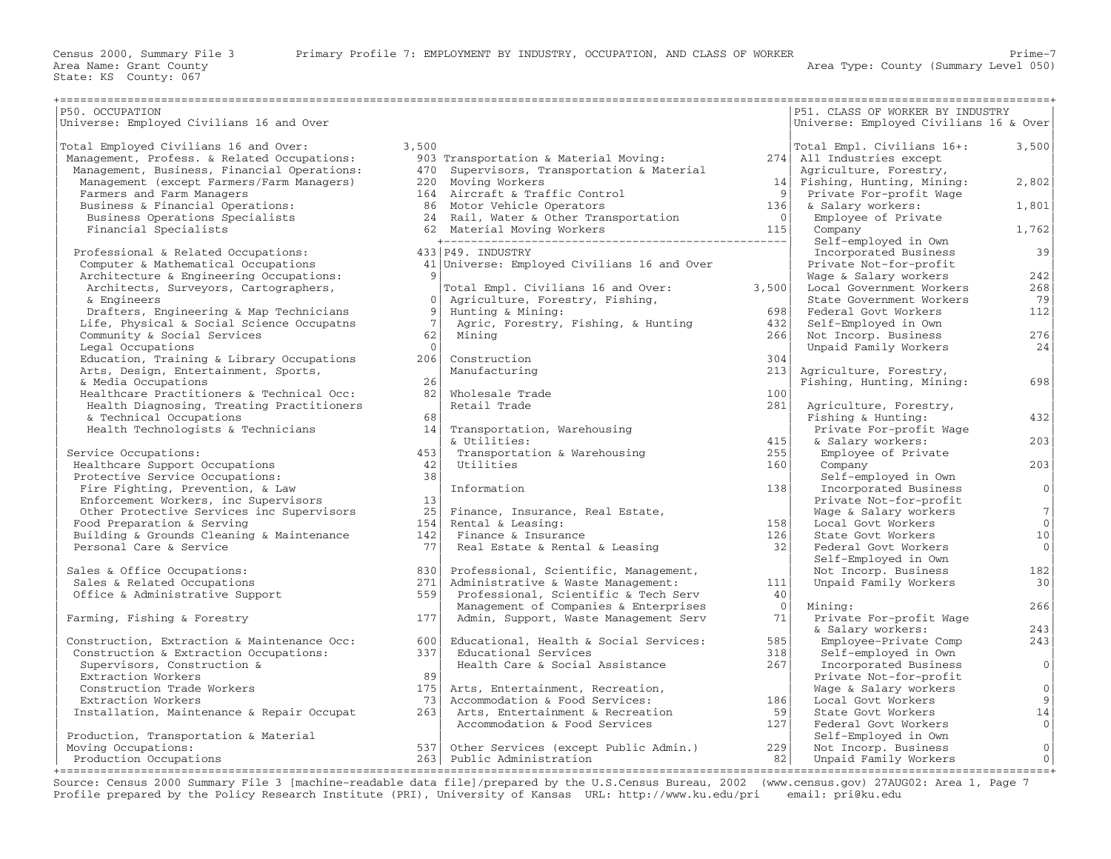| P50. OCCUPATION                             |                |                                             |                            | P51. CLASS OF WORKER BY INDUSTRY       |                |
|---------------------------------------------|----------------|---------------------------------------------|----------------------------|----------------------------------------|----------------|
| Universe: Employed Civilians 16 and Over    |                |                                             |                            | Universe: Employed Civilians 16 & Over |                |
|                                             |                |                                             |                            |                                        |                |
| Total Employed Civilians 16 and Over:       | 3,500          |                                             |                            | Total Empl. Civilians 16+:             | 3,500          |
| Management, Profess. & Related Occupations: |                | 903 Transportation & Material Moving:       |                            | 274 All Industries except              |                |
| Management, Business, Financial Operations: |                | 470 Supervisors, Transportation & Material  |                            | Agriculture, Forestry,                 |                |
| Management (except Farmers/Farm Managers)   |                | 220 Moving Workers                          |                            | 14 Fishing, Hunting, Mining:           | 2,802          |
| Farmers and Farm Managers                   |                | 164 Aircraft & Traffic Control              | 9                          | Private For-profit Wage                |                |
| Business & Financial Operations:            |                | 86 Motor Vehicle Operators                  | 136                        | & Salary workers:                      | 1,801          |
| Business Operations Specialists             |                | 24 Rail, Water & Other Transportation       | $\overline{\phantom{0}}$ 0 | Employee of Private                    |                |
| Financial Specialists                       |                |                                             | 115                        | Company                                | 1,762          |
|                                             |                |                                             |                            | Self-employed in Own                   |                |
| Professional & Related Occupations:         |                | 433 P49. INDUSTRY                           |                            | Incorporated Business                  | 39             |
| Computer & Mathematical Occupations         |                | 41 Universe: Employed Civilians 16 and Over |                            | Private Not-for-profit                 |                |
| Architecture & Engineering Occupations:     |                |                                             |                            | Wage & Salary workers                  | 242            |
| Architects, Surveyors, Cartographers,       |                | Total Empl. Civilians 16 and Over:          | 3,500                      | Local Government Workers               | 268            |
| & Engineers                                 | $\overline{0}$ | Agriculture, Forestry, Fishing,             |                            | State Government Workers               | 79             |
| Drafters, Engineering & Map Technicians     | 9 <sup>1</sup> | Hunting & Mining:                           | 698                        | Federal Govt Workers                   | 112            |
| Life, Physical & Social Science Occupatns   | 7              | Agric, Forestry, Fishing, & Hunting         | 432                        | Self-Employed in Own                   |                |
| Community & Social Services                 | 62             | Minina                                      | 266                        | Not Incorp. Business                   | 276            |
| Legal Occupations                           | $\Omega$       |                                             |                            | Unpaid Family Workers                  | 24             |
| Education, Training & Library Occupations   | 206            | Construction                                | 304                        |                                        |                |
| Arts, Design, Entertainment, Sports,        |                | Manufacturing                               | 213                        | Agriculture, Forestry,                 |                |
| & Media Occupations                         | 26             |                                             |                            | Fishing, Hunting, Mining:              | 698            |
| Healthcare Practitioners & Technical Occ:   | 82             | Wholesale Trade                             | 100                        |                                        |                |
| Health Diagnosing, Treating Practitioners   |                | Retail Trade                                | 281                        | Agriculture, Forestry,                 |                |
| & Technical Occupations                     | 68             |                                             |                            | Fishing & Hunting:                     | 432            |
| Health Technologists & Technicians          | 14             | Transportation, Warehousing                 |                            | Private For-profit Wage                |                |
|                                             |                | & Utilities:                                | 415                        | & Salary workers:                      | 203            |
|                                             | 453            |                                             | 255                        |                                        |                |
| Service Occupations:                        | 42.1           | Transportation & Warehousing<br>Utilities   |                            | Employee of Private                    | 203            |
| Healthcare Support Occupations              |                |                                             | 160                        | Company                                |                |
| Protective Service Occupations:             | 38             |                                             |                            | Self-employed in Own                   | 0              |
| Fire Fighting, Prevention, & Law            |                | Information                                 | 138                        | Incorporated Business                  |                |
| Enforcement Workers, inc Supervisors        | 13             |                                             |                            | Private Not-for-profit                 |                |
| Other Protective Services inc Supervisors   | 25             | Finance, Insurance, Real Estate,            |                            | Wage & Salary workers                  | 7              |
| Food Preparation & Serving                  | 154            | Rental & Leasing:                           | 158                        | Local Govt Workers                     | 0 <sup>1</sup> |
| Building & Grounds Cleaning & Maintenance   | 142            | Finance & Insurance                         | 126                        | State Govt Workers                     | 10             |
| Personal Care & Service                     | 77 L           | Real Estate & Rental & Leasing              | 32                         | Federal Govt Workers                   | $\circ$        |
|                                             |                |                                             |                            | Self-Employed in Own                   |                |
| Sales & Office Occupations:                 | 830            | Professional, Scientific, Management,       |                            | Not Incorp. Business                   | 182            |
| Sales & Related Occupations                 | 271            | Administrative & Waste Management:          | 111                        | Unpaid Family Workers                  | 30             |
| Office & Administrative Support             | 559            | Professional, Scientific & Tech Serv        | 40                         |                                        |                |
|                                             |                | Management of Companies & Enterprises       | $\overline{0}$             | Mining:                                | 266            |
| Farming, Fishing & Forestry                 | 177            | Admin, Support, Waste Management Serv       | 71                         | Private For-profit Wage                |                |
|                                             |                |                                             |                            | & Salary workers:                      | 243            |
| Construction, Extraction & Maintenance Occ: | 600            | Educational, Health & Social Services:      | 585                        | Employee-Private Comp                  | 243            |
| Construction & Extraction Occupations:      | 337            | Educational Services                        | 318                        | Self-employed in Own                   |                |
| Supervisors, Construction &                 |                | Health Care & Social Assistance             | 267                        | Incorporated Business                  | $\circ$        |
| Extraction Workers                          | 89             |                                             |                            | Private Not-for-profit                 |                |
| Construction Trade Workers                  | 175            | Arts, Entertainment, Recreation,            |                            | Wage & Salary workers                  | 0 <sup>1</sup> |
| Extraction Workers                          | 73             | Accommodation & Food Services:              | 186                        | Local Govt Workers                     | 9 <sup>1</sup> |
| Installation, Maintenance & Repair Occupat  | 263            | Arts, Entertainment & Recreation            | 59                         | State Govt Workers                     | 14             |
|                                             |                | Accommodation & Food Services               | 127                        | Federal Govt Workers                   | 0 <sup>1</sup> |
| Production, Transportation & Material       |                |                                             |                            | Self-Employed in Own                   |                |
| Moving Occupations:                         |                | 537 Other Services (except Public Admin.)   | 229                        | Not Incorp. Business                   | 0              |
| Production Occupations                      |                | 263 Public Administration                   | 82                         | Unpaid Family Workers                  | 0              |
|                                             |                |                                             |                            |                                        |                |

Source: Census 2000 Summary File 3 [machine−readable data file]/prepared by the U.S.Census Bureau, 2002 (www.census.gov) 27AUG02: Area 1, Page 7 Profile prepared by the Policy Research Institute (PRI), University of Kansas URL: http://www.ku.edu/pri email: pri@ku.edu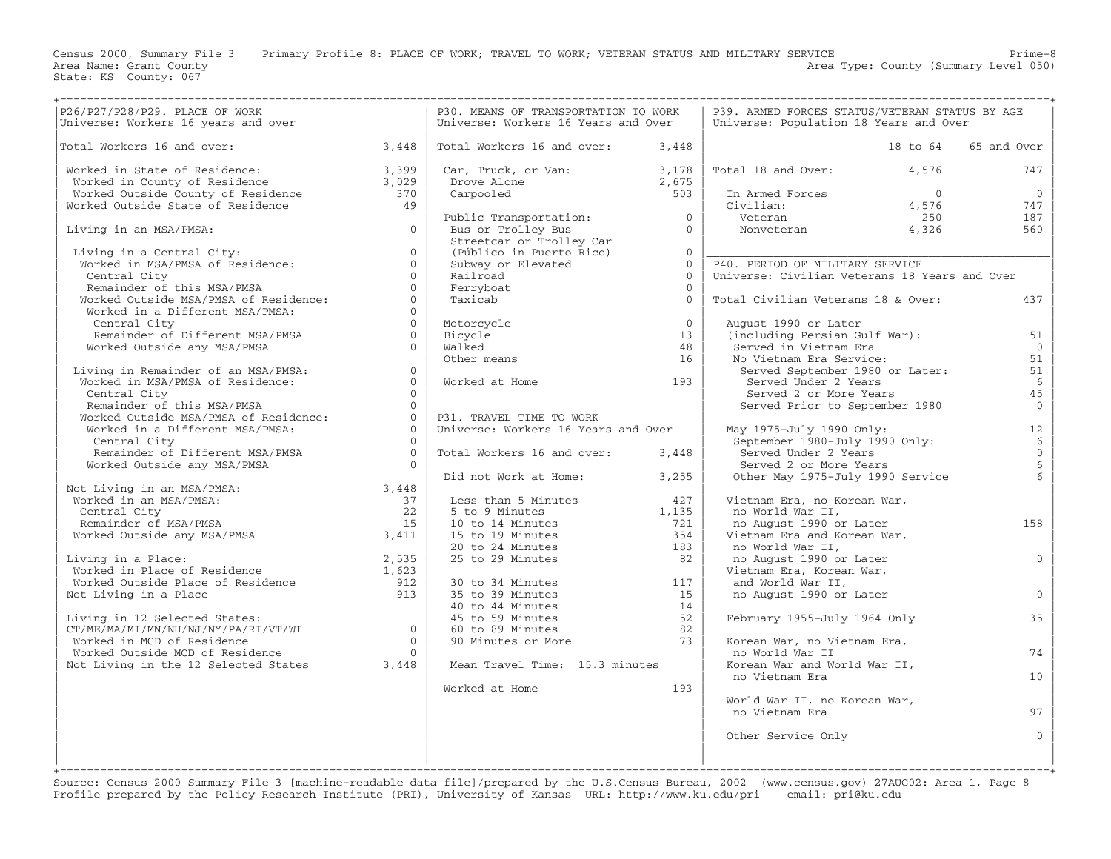Census 2000, Summary File 3 Primary Profile 8: PLACE OF WORK; TRAVEL TO WORK; VETERAN STATUS AND MILITARY SERVICE Prime-8<br>Area Name: Grant County Level 050)

Area Type: County (Summary Level 050)

| P26/P27/P28/P29. PLACE OF WORK                                                                                                                                                                                                  |                | P30. MEANS OF TRANSPORTATION TO WORK                                                                     |                                                           | P39. ARMED FORCES STATUS/VETERAN STATUS BY AGE |                 |
|---------------------------------------------------------------------------------------------------------------------------------------------------------------------------------------------------------------------------------|----------------|----------------------------------------------------------------------------------------------------------|-----------------------------------------------------------|------------------------------------------------|-----------------|
| Universe: Workers 16 years and over                                                                                                                                                                                             |                | Universe: Workers 16 Years and Over                                                                      |                                                           | Universe: Population 18 Years and Over         |                 |
|                                                                                                                                                                                                                                 |                |                                                                                                          |                                                           |                                                |                 |
| Total Workers 16 and over:<br>3,448                                                                                                                                                                                             |                | Total Workers 16 and over:                                                                               | 3,448                                                     | 18 to 64                                       | 65 and Over     |
|                                                                                                                                                                                                                                 |                |                                                                                                          |                                                           |                                                |                 |
| Worked in State of Residence: 3,399<br>Worked in County of Residence 3,029<br>Worked Outside County of Residence 370<br>Worked Outside State of Residence 49                                                                    |                | Car, Truck, or Van:<br>Jar, Truck, J.<br>Drove Alone                                                     | $\begin{bmatrix} 3 \,,\, 178 \ 2 \,,\, 675 \end{bmatrix}$ | Total 18 and Over:<br>4,576                    | 747             |
|                                                                                                                                                                                                                                 |                |                                                                                                          |                                                           |                                                |                 |
|                                                                                                                                                                                                                                 |                |                                                                                                          | 503                                                       | In Armed Forces<br>$\overline{0}$              | $\mathbf{0}$    |
|                                                                                                                                                                                                                                 |                |                                                                                                          |                                                           | Civilian:<br>4,576                             | 747             |
|                                                                                                                                                                                                                                 |                | Public Transportation: $0$<br>Pure as Turallow Pure                                                      |                                                           | Veteran<br>250                                 | 187             |
| Living in an MSA/PMSA:                                                                                                                                                                                                          | $\Omega$       | Bus or Trolley Bus                                                                                       | $\overline{0}$                                            | Nonveteran<br>4,326                            | 560             |
|                                                                                                                                                                                                                                 |                | Streetcar or Trolley Car                                                                                 |                                                           |                                                |                 |
|                                                                                                                                                                                                                                 |                |                                                                                                          |                                                           |                                                |                 |
| Living in a Central City:<br>Worked in MSA/PMSA of Residence:                                                                                                                                                                   | $\Omega$       | (Público in Puerto Rico)                                                                                 | $\Omega$                                                  |                                                |                 |
|                                                                                                                                                                                                                                 | $\Omega$       | Subway or Elevated                                                                                       | $\Omega$                                                  | P40. PERIOD OF MILITARY SERVICE                |                 |
| Central City                                                                                                                                                                                                                    | $\overline{0}$ | Railroad                                                                                                 | $\Omega$                                                  | Universe: Civilian Veterans 18 Years and Over  |                 |
| Remainder of this MSA/PMSA                                                                                                                                                                                                      | $\Omega$       | Ferryboat                                                                                                | $\Omega$                                                  |                                                |                 |
| Worked Outside MSA/PMSA of Residence:                                                                                                                                                                                           | $\Omega$       | Taxicab                                                                                                  | $\Omega$                                                  | Total Civilian Veterans 18 & Over:             | 437             |
| Worked in a Different MSA/PMSA:                                                                                                                                                                                                 | $\Omega$       |                                                                                                          |                                                           |                                                |                 |
| Central City                                                                                                                                                                                                                    | $\Omega$       | Motorcycle                                                                                               | $\Omega$                                                  | August 1990 or Later                           |                 |
|                                                                                                                                                                                                                                 |                |                                                                                                          |                                                           |                                                |                 |
| Remainder of Different MSA/PMSA                                                                                                                                                                                                 | $\Omega$       | Bicvcle                                                                                                  | 13                                                        | (including Persian Gulf War):                  | 51              |
| Worked Outside any MSA/PMSA                                                                                                                                                                                                     | $\Omega$       | Walked                                                                                                   | 48                                                        | Served in Vietnam Era                          | $\overline{0}$  |
|                                                                                                                                                                                                                                 |                | Other means                                                                                              | 16                                                        | No Vietnam Era Service:                        | 51              |
| Living in Remainder of an MSA/PMSA:                                                                                                                                                                                             | $\overline{0}$ |                                                                                                          |                                                           | Served September 1980 or Later:                | 51              |
| Worked in MSA/PMSA of Residence:                                                                                                                                                                                                | $\Omega$       | Worked at Home                                                                                           | 193                                                       | Served Under 2 Years                           | 6               |
| Central City                                                                                                                                                                                                                    | $\Omega$       |                                                                                                          |                                                           | Served 2 or More Years                         | 45              |
| Remainder of this MSA/PMSA                                                                                                                                                                                                      | $\overline{0}$ |                                                                                                          |                                                           | Served Prior to September 1980                 | $\overline{0}$  |
|                                                                                                                                                                                                                                 | $\Omega$       |                                                                                                          |                                                           |                                                |                 |
| Worked Outside MSA/PMSA of Residence:                                                                                                                                                                                           |                | P31. TRAVEL TIME TO WORK                                                                                 |                                                           |                                                |                 |
| Worked in a Different MSA/PMSA:                                                                                                                                                                                                 | $\Omega$       | Universe: Workers 16 Years and Over                                                                      |                                                           | May 1975-July 1990 Only:                       | 12              |
| Central City                                                                                                                                                                                                                    | $\bigcirc$     |                                                                                                          |                                                           | September 1980-July 1990 Only:                 | $6\overline{6}$ |
| Remainder of Different MSA/PMSA                                                                                                                                                                                                 | $\overline{0}$ | Total Workers 16 and over:                                                                               | 3,448                                                     | Served Under 2 Years                           | $\mathbf{0}$    |
| Worked Outside any MSA/PMSA                                                                                                                                                                                                     | $\bigcap$      |                                                                                                          |                                                           | Served 2 or More Years                         | 6               |
|                                                                                                                                                                                                                                 |                | Did not Work at Home: 3,255                                                                              |                                                           | Other May 1975-July 1990 Service               |                 |
| Not Living in an MSA/PMSA:<br>3,448                                                                                                                                                                                             |                |                                                                                                          |                                                           |                                                |                 |
| Worked in an MSA/PMSA:                                                                                                                                                                                                          | 37             | Less than 5 Minutes                                                                                      | 427                                                       | Vietnam Era, no Korean War,                    |                 |
|                                                                                                                                                                                                                                 | 22             |                                                                                                          |                                                           |                                                |                 |
| Central City                                                                                                                                                                                                                    |                | 5 to 9 Minutes<br>$\frac{5 \text{ to } 9 \text{ minutes}}{10 \text{ to } 14 \text{ minutes}}$            | 1,135                                                     | no World War II,                               |                 |
| Remainder of MSA/PMSA                                                                                                                                                                                                           | 15             |                                                                                                          | 721                                                       | no August 1990 or Later                        | 158             |
| 3,411<br>Worked Outside any MSA/PMSA                                                                                                                                                                                            |                |                                                                                                          | 354                                                       | Vietnam Era and Korean War,                    |                 |
|                                                                                                                                                                                                                                 |                | 20 to 24 Minutes                                                                                         | 183                                                       | no World War II,                               |                 |
|                                                                                                                                                                                                                                 |                | 25 to 29 Minutes                                                                                         | 82                                                        | no August 1990 or Later                        | $\overline{0}$  |
|                                                                                                                                                                                                                                 |                |                                                                                                          |                                                           | Vietnam Era, Korean War,                       |                 |
|                                                                                                                                                                                                                                 |                | 30 to 34 Minutes                                                                                         | 117                                                       | and World War II,                              |                 |
| Example of Residence (and the Second of Norked in Place of Residence (and the Second Legislary 1,623<br>Norked Outside Place of Residence (and the Second Second Second Second Second Second Second Second Second Second Second |                | 35 to 39 Minutes                                                                                         | 15                                                        |                                                | $\Omega$        |
|                                                                                                                                                                                                                                 |                | 35 to 39 Minutes<br>40 to 44 Minutes<br>45 to 59 Minutes<br>60 to 89 Minutes<br>90 Minutes or More<br>73 |                                                           | no August 1990 or Later                        |                 |
|                                                                                                                                                                                                                                 |                |                                                                                                          |                                                           |                                                |                 |
| Living in 12 Selected States:                                                                                                                                                                                                   |                |                                                                                                          | 52                                                        | February 1955-July 1964 Only                   | 35              |
| $CT/ME/MA/MI/MN/NH/NJ/NY/PA/RI/VT/WI$ 0                                                                                                                                                                                         |                |                                                                                                          |                                                           |                                                |                 |
| Worked in MCD of Residence                                                                                                                                                                                                      | $\overline{0}$ |                                                                                                          |                                                           | Korean War, no Vietnam Era,                    |                 |
| Worked Outside MCD of Residence                                                                                                                                                                                                 | $\bigcap$      |                                                                                                          |                                                           | no World War II                                | 74              |
| Not Living in the 12 Selected States 3,448                                                                                                                                                                                      |                | Mean Travel Time: 15.3 minutes                                                                           |                                                           | Korean War and World War II,                   |                 |
|                                                                                                                                                                                                                                 |                |                                                                                                          |                                                           | no Vietnam Era                                 | 10 <sup>°</sup> |
|                                                                                                                                                                                                                                 |                |                                                                                                          |                                                           |                                                |                 |
|                                                                                                                                                                                                                                 |                | Worked at Home                                                                                           | 193                                                       |                                                |                 |
|                                                                                                                                                                                                                                 |                |                                                                                                          |                                                           | World War II, no Korean War,                   |                 |
|                                                                                                                                                                                                                                 |                |                                                                                                          |                                                           | no Vietnam Era                                 | 97              |
|                                                                                                                                                                                                                                 |                |                                                                                                          |                                                           |                                                |                 |
|                                                                                                                                                                                                                                 |                |                                                                                                          |                                                           | Other Service Only                             | $\Omega$        |
|                                                                                                                                                                                                                                 |                |                                                                                                          |                                                           |                                                |                 |
|                                                                                                                                                                                                                                 |                |                                                                                                          |                                                           |                                                |                 |
|                                                                                                                                                                                                                                 |                |                                                                                                          |                                                           |                                                |                 |

Source: Census 2000 Summary File 3 [machine−readable data file]/prepared by the U.S.Census Bureau, 2002 (www.census.gov) 27AUG02: Area 1, Page 8 Profile prepared by the Policy Research Institute (PRI), University of Kansas URL: http://www.ku.edu/pri email: pri@ku.edu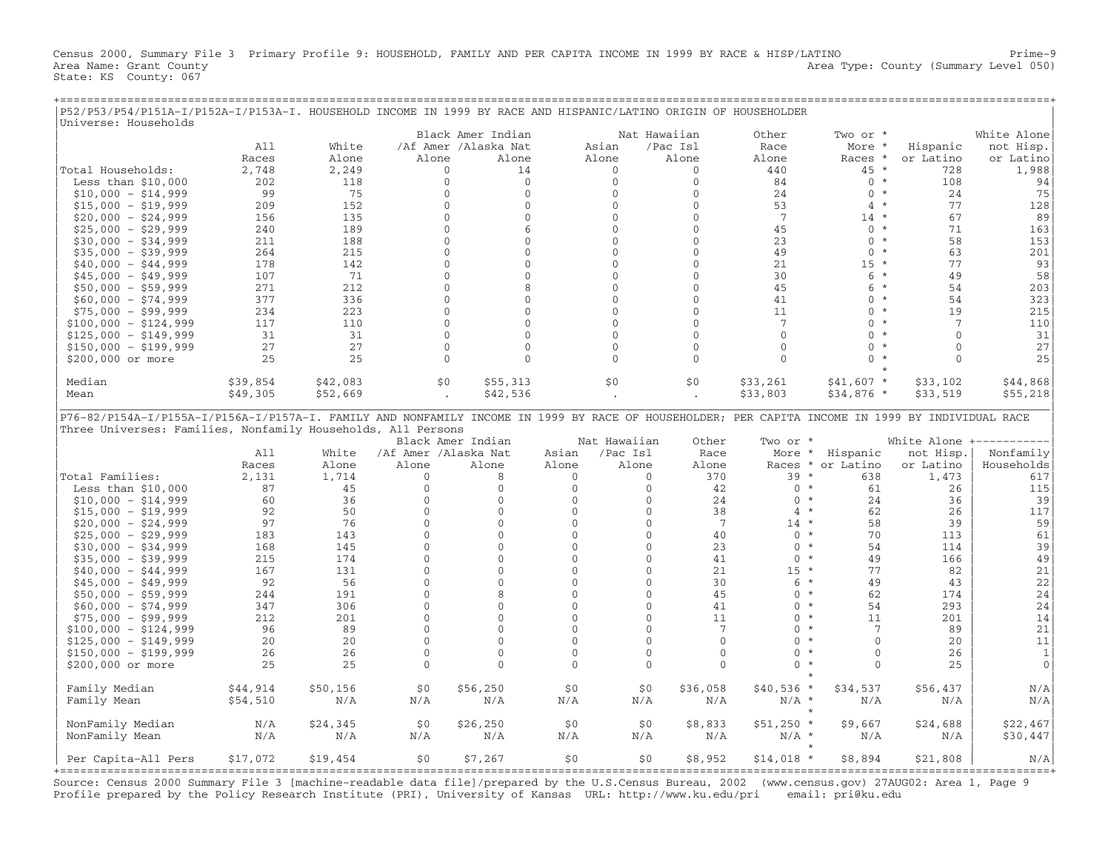Census 2000, Summary File 3 Primary Profile 9: HOUSEHOLD, FAMILY AND PER CAPITA INCOME IN 1999 BY RACE & HISP/LATINO Prime−9 Area Name: Grant County 1999 (Summary Level 050) Area Type: County (Summary Level 050) State: KS County: 067

+===================================================================================================================================================+

| P52/P53/P54/P151A-I/P152A-I/P153A-I. HOUSEHOLD INCOME IN 1999 BY RACE AND HISPANIC/LATINO ORIGIN OF HOUSEHOLDER<br>Universe: Households                                                                          |          |          |                      |                      |                |                          |                 |                   |                              |                        |                              |
|------------------------------------------------------------------------------------------------------------------------------------------------------------------------------------------------------------------|----------|----------|----------------------|----------------------|----------------|--------------------------|-----------------|-------------------|------------------------------|------------------------|------------------------------|
|                                                                                                                                                                                                                  |          |          |                      | Black Amer Indian    |                | Nat Hawaiian             |                 | Other             | Two or *                     |                        | White Alone                  |
|                                                                                                                                                                                                                  | A11      | White    |                      | /Af Amer /Alaska Nat | Asian          |                          | /Pac Isl        | Race              | More                         | Hispanic               | not Hisp.                    |
|                                                                                                                                                                                                                  | Races    | Alone    | Alone                | Alone                | Alone          |                          | Alone           | Alone             | Races *                      | or Latino              | or Latino                    |
| Total Households:                                                                                                                                                                                                | 2,748    | 2,249    | 0                    | 14                   |                | $\mathbf{0}$             | $\mathbf{0}$    | 440               | 45 *                         | 728                    | 1,988                        |
| Less than $$10,000$                                                                                                                                                                                              | 202      | 118      | $\mathbf{0}$         | $\mathbf{0}$         |                | $\Omega$                 | $\Omega$        | 84                | $0 *$                        | 108                    | 94                           |
| $$10,000 - $14,999$                                                                                                                                                                                              | 99       | 75       | $\mathbf{0}$         | $\mathbf{0}$         |                | $\mathbf{0}$             | $\mathbf{0}$    | 24                | $\mathbf{0}$<br>$\star$      | 24                     | 75                           |
| $$15,000 - $19,999$                                                                                                                                                                                              | 209      | 152      | $\mathbf{0}$         | $\mathbf{0}$         |                | $\overline{0}$           | $\mathbf{0}$    | 53                | $^{\star}$<br>$\overline{4}$ | 77                     | 128                          |
| $$20,000 - $24,999$                                                                                                                                                                                              | 156      | 135      | $\mathbf{0}$         | $\mathbf{0}$         |                | $\mathbf{0}$             | $\mathbf{0}$    | $7\phantom{.0}$   | $14 *$                       | 67                     | 89                           |
| $$25,000 - $29,999$                                                                                                                                                                                              | 240      | 189      | $\mathbf{0}$         | 6                    |                | $\Omega$                 | $\mathbf{0}$    | 45                | $0 *$                        | 71                     | 163                          |
| $$30,000 - $34,999$                                                                                                                                                                                              | 211      | 188      | $\mathbf{0}$         | $\mathbf{0}$         |                | $\Omega$                 | $\mathbf{0}$    | 23                | $0 *$                        | 58                     | 153                          |
| $$35,000 - $39,999$                                                                                                                                                                                              | 264      | 215      | $\mathbf{0}$         | $\mathbf 0$          |                | $\Omega$                 | $\Omega$        | 49                | $\Omega$<br>$\star$          | 63                     | 201                          |
| $$40,000 - $44,999$                                                                                                                                                                                              | 178      | 142      | $\Omega$             | $\Omega$             |                | $\Omega$                 | $\Omega$        | 21                | $15 *$                       | 77                     | 93                           |
| $$45,000 - $49,999$                                                                                                                                                                                              | 107      | 71       | $\mathbf{0}$         | $\mathbf{0}$         |                | $\mathbf{0}$             | $\mathbf{0}$    | 30                | $6*$                         | 49                     | 58                           |
| $$50,000 - $59,999$                                                                                                                                                                                              | 271      | 212      | $\mathbf{0}$         | 8                    |                | $\mathbf{0}$             | $\mathbf{0}$    | 45                | 6<br>$^\star$                | 54                     | 203                          |
| $$60,000 - $74,999$                                                                                                                                                                                              | 377      | 336      | $\mathbf{0}$         | $\Omega$             |                | $\Omega$                 | $\Omega$        | 41                | $\Omega$<br>$^{\star}$       | 54                     | 323                          |
| $$75,000 - $99,999$                                                                                                                                                                                              | 234      | 223      | $\Omega$             | $\Omega$             |                | $\Omega$                 | $\Omega$        | 11                | $0 *$                        | 19                     | 215                          |
| $$100,000 - $124,999$                                                                                                                                                                                            | 117      | 110      | $\mathbf 0$          | $\mathbf 0$          |                | $\mathbf{0}$             | $\mathbf{0}$    | $\overline{7}$    | $\mathbf{0}$<br>$\star$      | 7                      | 110                          |
| $$125,000 - $149,999$                                                                                                                                                                                            | 31       | 31       | $\mathbf{0}$         | $\Omega$             |                | $\Omega$                 | $\mathbf{0}$    | $\mathbf{0}$      | $\Omega$<br>$\star$          | $\Omega$               | 31                           |
| $$150,000 - $199,999$                                                                                                                                                                                            | 27       | 27       | $\mathbf{0}$         | $\overline{0}$       |                | $\Omega$                 | $\mathbf{0}$    | $\mathbf{0}$      | $\Omega$<br>$^{\star}$       | $\Omega$               | 27                           |
| \$200,000 or more                                                                                                                                                                                                | 25       | 25       | $\mathbf{0}$         | $\Omega$             |                | $\Omega$                 | $\mathbf{0}$    | $\Omega$          | $\Omega$                     | $\Omega$               | 25                           |
|                                                                                                                                                                                                                  |          |          |                      |                      |                |                          |                 |                   |                              |                        |                              |
| Median                                                                                                                                                                                                           | \$39,854 | \$42,083 | \$0                  | \$55,313             | \$0            |                          | \$0\$           | \$33,261          | $$41,607$ *                  | \$33,102               | \$44,868                     |
| Mean                                                                                                                                                                                                             | \$49,305 | \$52,669 | $\ddot{\phantom{a}}$ | \$42,536             |                |                          |                 | \$33,803          | $$34,876$ *                  | \$33,519               | \$55,218                     |
| P76-82/P154A-I/P155A-I/P156A-I/P157A-I. FAMILY AND NONFAMILY INCOME IN 1999 BY RACE OF HOUSEHOLDER; PER CAPITA INCOME IN 1999 BY INDIVIDUAL RACE<br>Three Universes: Families, Nonfamily Households, All Persons |          |          |                      |                      |                |                          |                 |                   |                              |                        |                              |
|                                                                                                                                                                                                                  |          |          |                      |                      |                |                          |                 |                   |                              |                        |                              |
|                                                                                                                                                                                                                  | A11      | White    | /Af Amer /Alaska Nat | Black Amer Indian    | Asian          | Nat Hawaiian<br>/Pac Isl | Other<br>Race   | Two or *          |                              |                        | White Alone +----------      |
|                                                                                                                                                                                                                  | Races    | Alone    | Alone                | Alone                | Alone          | Alone                    | Alone           | More *<br>Races * | Hispanic<br>or Latino        | not Hisp.<br>or Latino | Nonfamily<br>Households      |
| Total Families:                                                                                                                                                                                                  | 2,131    | 1,714    | $\Omega$             | 8                    | $\mathbf{0}$   | $\mathbf{0}$             | 370             | 39                | $\star$<br>638               | 1,473                  | 617                          |
| Less than $$10,000$                                                                                                                                                                                              | 87       | 45       | $\mathbf{0}$         | $\mathbf{0}$         | $\mathbf{0}$   | $\mathbf{0}$             | 42              | $0 *$             | 61                           | 26                     | 115                          |
| $$10,000 - $14,999$                                                                                                                                                                                              | 60       | 36       | $\mathbf{0}$         | $\mathbf{0}$         | $\mathbf{0}$   | $\mathbf{0}$             | 24              | $0 *$             | 24                           | 36                     | 39                           |
| $$15,000 - $19,999$                                                                                                                                                                                              | 92       | 50       | $\Omega$             | $\Omega$             | $\Omega$       | $\Omega$                 | 38              | $4 *$             | 62                           | 26                     | 117                          |
| $$20,000 - $24,999$                                                                                                                                                                                              | 97       | 76       | $\mathbf 0$          | $\mathbf{0}$         | $\mathbf{0}$   | $\mathbf{0}$             | $\overline{7}$  | $14 *$            | 58                           | 39                     | 59                           |
| $$25,000 - $29,999$                                                                                                                                                                                              | 183      | 143      | $\mathbf{0}$         | $\mathbf{0}$         | $\mathbf{0}$   | $\mathbf{0}$             | 40              | $0 *$             | 70                           | 113                    | 61                           |
| $$30,000 - $34,999$                                                                                                                                                                                              | 168      | 145      | $\Omega$             | $\Omega$             | $\Omega$       | $\Omega$                 | 23              | $0 *$             | 54                           | 114                    | 39                           |
| $$35,000 - $39,999$                                                                                                                                                                                              | 215      | 174      | $\mathbf{0}$         | $\mathbf 0$          | $\Omega$       | $\Omega$                 | 41              | $\mathbf{0}$      | $\star$<br>49                | 166                    | 49                           |
| $$40,000 - $44,999$                                                                                                                                                                                              | 167      | 131      | $\mathbf{0}$         | $\mathbf{0}$         | $\mathbf{0}$   | $\mathbf{0}$             | 21              | $15 *$            | 77                           | 82                     |                              |
| $$45,000 - $49,999$                                                                                                                                                                                              | 92       | 56       | $\mathbf{0}$         | $\mathbf{0}$         | $\mathbf{0}$   | $\mathbf{0}$             | 30              | $6 *$             | 49                           | 43                     | 21                           |
| $$50,000 - $59,999$                                                                                                                                                                                              | 244      | 191      | $\mathbf{0}$         | 8                    | $\overline{0}$ | $\mathbf{0}$             | 45              | $\Omega$          | $\star$<br>62                | 174                    | 22                           |
| $$60,000 - $74,999$                                                                                                                                                                                              | 347      | 306      | $\mathbf{0}$         | $\mathbf{0}$         | 0              | $\mathbf{0}$             | 41              | $\Omega$          | $\star$<br>54                | 293                    | 24                           |
|                                                                                                                                                                                                                  | 212      | 201      | $\Omega$             | $\Omega$             | $\Omega$       | $\Omega$                 | 11              | $\Omega$          | $\star$<br>11                | 201                    | 24                           |
| $$75,000 - $99,999$                                                                                                                                                                                              | 96       | 89       | $\mathbf{0}$         | $\mathbf 0$          | $\Omega$       | $\Omega$                 | $7\phantom{.0}$ | $\Omega$          | $\star$<br>7                 | 89                     | 14                           |
| $$100,000 - $124,999$                                                                                                                                                                                            |          |          | $\Omega$             | $\mathbf{0}$         | $\Omega$       | $\mathbf{0}$             | $\Omega$        | $\Omega$          | $\star$<br>$\Omega$          |                        | 21                           |
| $$125,000 - $149,999$                                                                                                                                                                                            | 20<br>26 | 20<br>26 | $\mathbf{0}$         | $\circ$              | $\Omega$       | $\mathbf{0}$             | $\Omega$        | $\Omega$          | $\mathbf{0}$<br>$\star$      | 20<br>26               | 11                           |
| $$150,000 - $199,999$<br>\$200,000 or more                                                                                                                                                                       | 25       | 25       | $\Omega$             | $\Omega$             | $\Omega$       | $\Omega$                 | $\Omega$        | $\Omega$          | $\star$<br>$\Omega$          | 25                     | $\mathbf{1}$<br>$\mathbf{0}$ |
|                                                                                                                                                                                                                  |          |          |                      |                      |                |                          |                 |                   |                              |                        |                              |
| Family Median                                                                                                                                                                                                    | \$44,914 | \$50,156 | \$0\$                | \$56,250             | \$0            | \$0\$                    | \$36,058        | $$40,536$ *       | \$34,537                     | \$56,437               | N/A                          |
| Family Mean                                                                                                                                                                                                      | \$54,510 | N/A      | N/A                  | N/A                  | N/A            | N/A                      | N/A             | $N/A$ *           | N/A                          | N/A                    | N/A                          |
|                                                                                                                                                                                                                  |          |          |                      |                      |                |                          |                 |                   | $\star$                      |                        |                              |
| NonFamily Median                                                                                                                                                                                                 | N/A      | \$24,345 | \$0                  | \$26, 250            | \$0            | \$0                      | \$8,833         | $$51,250$ *       | \$9,667                      | \$24,688               | \$22,467                     |
| NonFamily Mean                                                                                                                                                                                                   | N/A      | N/A      | N/A                  | N/A                  | N/A            | N/A                      | N/A             | $N/A$ *           | N/A                          | N/A                    | \$30,447                     |
| Per Capita-All Pers                                                                                                                                                                                              | \$17,072 | \$19,454 | \$0                  | \$7,267              | \$0            | \$0                      | \$8,952         | $$14,018$ *       | $\star$<br>\$8,894           | \$21,808               | N/A                          |

Source: Census 2000 Summary File 3 [machine−readable data file]/prepared by the U.S.Census Bureau, 2002 (www.census.gov) 27AUG02: Area 1, Page 9 Profile prepared by the Policy Research Institute (PRI), University of Kansas URL: http://www.ku.edu/pri email: pri@ku.edu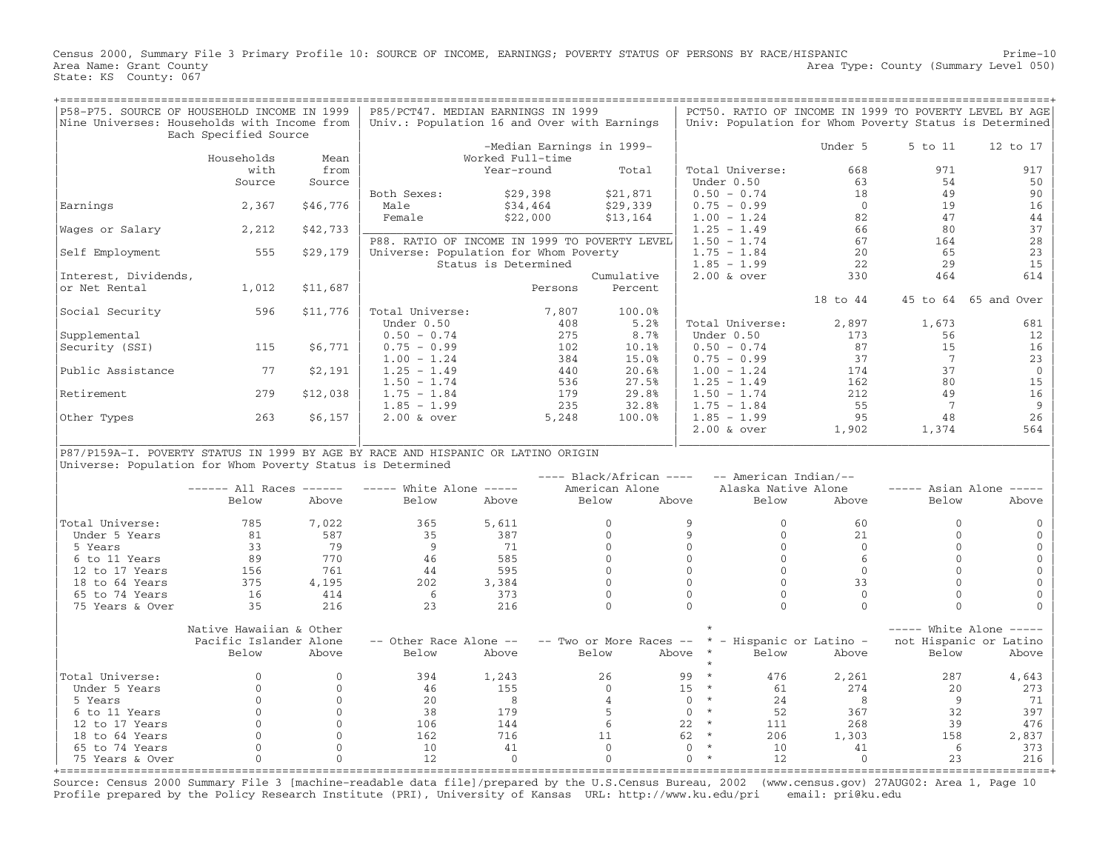Census 2000, Summary File 3 Primary Profile 10: SOURCE OF INCOME, EARNINGS; POVERTY STATUS OF PERSONS BY RACE/HISPANIC Prime−10 Area Name: Grant County **Area Type: County** (Summary Level 050) State: KS County: 067

| P58-P75. SOURCE OF HOUSEHOLD INCOME IN 1999                                      |                         |              | P85/PCT47. MEDIAN EARNINGS IN 1999            |                      |                           |                           |                           |           |                          |                 | PCT50. RATIO OF INCOME IN 1999 TO POVERTY LEVEL BY AGE |
|----------------------------------------------------------------------------------|-------------------------|--------------|-----------------------------------------------|----------------------|---------------------------|---------------------------|---------------------------|-----------|--------------------------|-----------------|--------------------------------------------------------|
| Nine Universes: Households with Income from                                      |                         |              | Univ.: Population 16 and Over with Earnings   |                      |                           |                           |                           |           |                          |                 | Univ: Population for Whom Poverty Status is Determined |
|                                                                                  | Each Specified Source   |              |                                               |                      |                           |                           |                           |           |                          |                 |                                                        |
|                                                                                  |                         |              |                                               |                      | -Median Earnings in 1999- |                           |                           |           | Under 5                  | 5 to 11         | 12 to 17                                               |
|                                                                                  | Households              | Mean         |                                               | Worked Full-time     |                           |                           |                           |           |                          |                 |                                                        |
|                                                                                  | with                    | from         |                                               | Year-round           |                           | Total                     | Total Universe:           |           | 668                      | 971             | 917                                                    |
|                                                                                  |                         |              |                                               |                      |                           |                           |                           |           |                          |                 |                                                        |
|                                                                                  | Source                  | Source       |                                               |                      |                           |                           | Under 0.50                |           | 63                       | 54              | 50                                                     |
|                                                                                  |                         |              | Both Sexes:                                   | \$29,398             |                           | \$21,871                  | $0.50 - 0.74$             |           | 18                       | 49              | 90                                                     |
| Earnings                                                                         | 2,367                   | \$46,776     | Male                                          | \$34,464             |                           | \$29,339                  | $0.75 - 0.99$             |           | $\overline{0}$           | 19              | 16                                                     |
|                                                                                  |                         |              | Female                                        | \$22,000             |                           | \$13,164                  | $1.00 - 1.24$             |           | 82                       | 47              | 44                                                     |
| Wages or Salary                                                                  | 2,212                   | \$42,733     |                                               |                      |                           |                           | $1.25 - 1.49$             |           | 66                       | 80              | 37                                                     |
|                                                                                  |                         |              | P88. RATIO OF INCOME IN 1999 TO POVERTY LEVEL |                      |                           |                           | $1.50 - 1.74$             |           | 67                       | 164             | 28                                                     |
| Self Employment                                                                  | 555                     | \$29,179     | Universe: Population for Whom Poverty         |                      |                           |                           | $1.75 - 1.84$             |           | 20                       | 65              | 23                                                     |
|                                                                                  |                         |              |                                               | Status is Determined |                           |                           | $1.85 - 1.99$             |           | 22                       | 29              | 15                                                     |
| Interest, Dividends,                                                             |                         |              |                                               |                      |                           | Cumulative                | $2.00$ & over             |           | 330                      | 464             | 614                                                    |
| or Net Rental                                                                    | 1,012                   | \$11,687     |                                               |                      | Persons                   | Percent                   |                           |           |                          |                 |                                                        |
|                                                                                  |                         |              |                                               |                      |                           |                           |                           |           | 18 to 44                 |                 | 45 to 64 65 and Over                                   |
| Social Security                                                                  | 596                     | \$11,776     | Total Universe:                               |                      | 7,807                     | 100.0%                    |                           |           |                          |                 |                                                        |
|                                                                                  |                         |              |                                               |                      |                           |                           |                           |           |                          |                 |                                                        |
|                                                                                  |                         |              | Under 0.50                                    |                      | 408                       | 5.2%                      | Total Universe:           |           | 2,897                    | 1,673           | 681                                                    |
| Supplemental                                                                     |                         |              | $0.50 - 0.74$                                 |                      | 275                       | 8.7%                      | Under 0.50                |           | 173                      | 56              | 12                                                     |
| Security (SSI)                                                                   | 115                     | \$6,771      | $0.75 - 0.99$                                 |                      | 102                       | 10.1%                     | $0.50 - 0.74$             |           | 87                       | 15              | 16                                                     |
|                                                                                  |                         |              | $1.00 - 1.24$                                 |                      | 384                       | 15.0%                     | $0.75 - 0.99$             |           | 37                       | $7\overline{ }$ | 23                                                     |
| Public Assistance                                                                | 77                      | \$2,191      | $1.25 - 1.49$                                 |                      | 440                       | 20.6%                     | $1.00 - 1.24$             |           | 174                      | 37              | $\mathbb O$                                            |
|                                                                                  |                         |              | $1.50 - 1.74$                                 |                      | 536                       | 27.5%                     | $1.25 - 1.49$             |           | 162                      | 80              | 15                                                     |
| Retirement                                                                       | 279                     | \$12,038     | $1.75 - 1.84$                                 |                      | 179                       | 29.8%                     | $1.50 - 1.74$             |           | 212                      | 49              | 16                                                     |
|                                                                                  |                         |              | $1.85 - 1.99$                                 |                      | 235                       | 32.8%                     | $1.75 - 1.84$             |           | 55                       | 7               | $\overline{9}$                                         |
| Other Types                                                                      | 263                     | \$6,157      | $2.00$ & over                                 |                      | 5,248                     | 100.0%                    | $1.85 - 1.99$             |           | 95                       | 48              | 26                                                     |
|                                                                                  |                         |              |                                               |                      |                           |                           | $2.00$ & over             |           | 1,902                    | 1,374           | 564                                                    |
|                                                                                  |                         |              |                                               |                      |                           |                           |                           |           |                          |                 |                                                        |
| P87/P159A-I. POVERTY STATUS IN 1999 BY AGE BY RACE AND HISPANIC OR LATINO ORIGIN |                         |              |                                               |                      |                           |                           |                           |           |                          |                 |                                                        |
|                                                                                  |                         |              |                                               |                      |                           |                           |                           |           |                          |                 |                                                        |
| Universe: Population for Whom Poverty Status is Determined                       |                         |              |                                               |                      |                           |                           |                           |           |                          |                 |                                                        |
|                                                                                  |                         |              |                                               |                      |                           | $---$ Black/African $---$ |                           |           | -- American Indian/--    |                 |                                                        |
|                                                                                  | $----$ All Races $----$ |              | $---$ White Alone $---$                       |                      |                           | American Alone            |                           |           | Alaska Native Alone      |                 | $--- A {\bf s}$ Asian Alone $---$                      |
|                                                                                  | Below                   | Above        | Below                                         | Above                | Below                     |                           | Above                     | Below     | Above                    | Below           | Above                                                  |
|                                                                                  |                         |              |                                               |                      |                           |                           |                           |           |                          |                 |                                                        |
| Total Universe:                                                                  | 785                     | 7,022        | 365                                           | 5,611                |                           | $\mathbf{0}$              | 9                         | $\Omega$  | 60                       | $\Omega$        |                                                        |
| Under 5 Years                                                                    | 81                      | 587          | 35                                            | 387                  |                           | $\Omega$                  | $\mathbf{Q}$              | $\Omega$  | 21                       | $\Omega$        | $\Omega$                                               |
| 5 Years                                                                          | 33                      | 79           | - 9                                           | 71                   |                           | $\Omega$                  | $\Omega$                  | $\Omega$  | $\Omega$                 | $\Omega$        | $\mathbf 0$                                            |
| 6 to 11 Years                                                                    | 89                      | 770          | 46                                            | 585                  |                           | $\Omega$                  | $\Omega$                  | $\Omega$  | 6                        | $\Omega$        | $\Omega$                                               |
| 12 to 17 Years                                                                   | 156                     | 761          | 44                                            | 595                  |                           | $\Omega$                  | $\Omega$                  | $\Omega$  | $\Omega$                 | $\Omega$        | $\Omega$                                               |
| 18 to 64 Years                                                                   | 375                     | 4,195        | 202                                           | 3,384                |                           | $\Omega$                  | $\Omega$                  | $\Omega$  | 33                       | $\Omega$        | $\Omega$                                               |
| 65 to 74 Years                                                                   | 16                      | 414          | 6                                             | 373                  |                           | $\mathbf{0}$              | $\Omega$                  | $\Omega$  | $\Omega$                 | $\Omega$        | $\mathbf{0}$                                           |
| 75 Years & Over                                                                  | 35                      | 216          | 23                                            | 216                  |                           | $\Omega$                  | $\Omega$                  | $\bigcap$ | $\Omega$                 | $\Omega$        | $\Omega$                                               |
|                                                                                  |                         |              |                                               |                      |                           |                           |                           |           |                          |                 |                                                        |
|                                                                                  |                         |              |                                               |                      |                           |                           |                           |           |                          |                 |                                                        |
|                                                                                  | Native Hawaiian & Other |              |                                               |                      |                           |                           |                           |           |                          |                 | $---$ White Alone $---$                                |
|                                                                                  | Pacific Islander Alone  |              | -- Other Race Alone --                        |                      |                           | -- Two or More Races --   |                           |           | * - Hispanic or Latino - |                 | not Hispanic or Latino                                 |
|                                                                                  | Below                   | Above        | Below                                         | Above                | Below                     |                           | Above<br>$\star$          | Below     | Above                    | Below           | Above                                                  |
|                                                                                  |                         |              |                                               |                      |                           |                           |                           |           |                          |                 |                                                        |
| Total Universe:                                                                  | $\Omega$                | $\Omega$     | 394                                           | 1,243                |                           | 26                        | $\star$<br>99             | 476       | 2,261                    | 287             | 4,643                                                  |
| Under 5 Years                                                                    | $\Omega$                | $\Omega$     | 46                                            | 155                  |                           | $\Omega$                  | 15<br>$\star$             | 61        | 274                      | 20              | 273                                                    |
| 5 Years                                                                          | $\Omega$                | $\Omega$     | 20                                            | 8                    |                           | $\overline{4}$            | $\star$<br>$\Omega$       | 24        | 8                        | - 9             | 71                                                     |
| 6 to 11 Years                                                                    | $\mathbf{0}$            | $\mathbf{0}$ | 38                                            | 179                  |                           | 5                         | $\star$<br>$\overline{0}$ | 52        | 367                      | 32              | 397                                                    |
| 12 to 17 Years                                                                   | $\Omega$                | $\Omega$     | 106                                           | 144                  |                           | 6                         | 22<br>$\star$             | 111       | 268                      | 39              | 476                                                    |
| 18 to 64 Years                                                                   | $\mathbf 0$             | $\mathbf{0}$ | 162                                           | 716                  |                           | 11                        | $\star$<br>62             | 206       | 1,303                    | 158             | 2,837                                                  |
|                                                                                  | $\Omega$                | $\Omega$     |                                               |                      |                           | $\Omega$                  | $\star$<br>$\Omega$       |           |                          | 6               |                                                        |
| 65 to 74 Years                                                                   |                         |              | 10                                            | 41                   |                           | $\Omega$                  | $\star$                   | 10        | 41                       |                 | 373                                                    |
| 75 Years & Over                                                                  | $\Omega$                | $\Omega$     | 12                                            | $\Omega$             |                           |                           | $\Omega$                  | 12        | $\Omega$                 | 23              | 216                                                    |
| koooooooooooooo                                                                  |                         |              |                                               |                      |                           |                           |                           |           |                          |                 |                                                        |

Source: Census 2000 Summary File 3 [machine−readable data file]/prepared by the U.S.Census Bureau, 2002 (www.census.gov) 27AUG02: Area 1, Page 10 Profile prepared by the Policy Research Institute (PRI), University of Kansas URL: http://www.ku.edu/pri email: pri@ku.edu